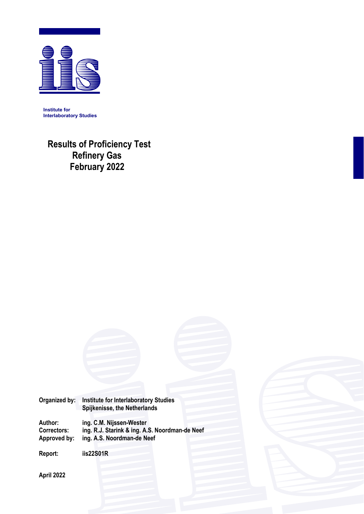

**Institute for Interlaboratory Studies** 

**Results of Proficiency Test Refinery Gas February 2022**



**Author: ing. C.M. Nijssen-Wester Correctors: ing. R.J. Starink & ing. A.S. Noordman-de Neef Approved by: ing. A.S. Noordman-de Neef** 

**Report: iis22S01R** 

**April 2022**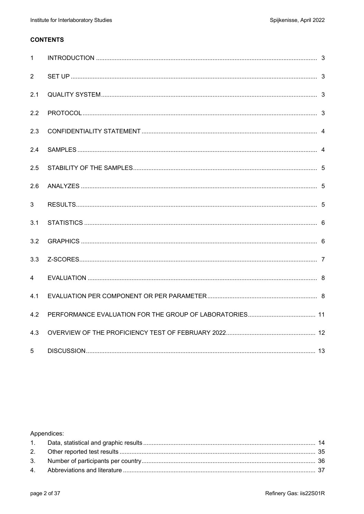## **CONTENTS**

| $\mathbf{1}$   |  |
|----------------|--|
| $\overline{2}$ |  |
| 2.1            |  |
| 2.2            |  |
| 2.3            |  |
| 2.4            |  |
| 2.5            |  |
| 2.6            |  |
| 3              |  |
| 3.1            |  |
| 3.2            |  |
| 3.3            |  |
| 4              |  |
| 4.1            |  |
| 4.2            |  |
| 4.3            |  |
| 5              |  |

## Appendices: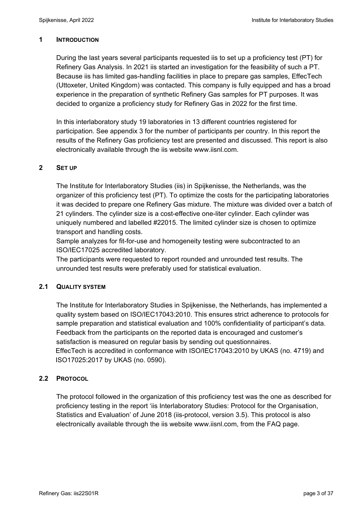### **1 INTRODUCTION**

During the last years several participants requested iis to set up a proficiency test (PT) for Refinery Gas Analysis. In 2021 iis started an investigation for the feasibility of such a PT. Because iis has limited gas-handling facilities in place to prepare gas samples, EffecTech (Uttoxeter, United Kingdom) was contacted. This company is fully equipped and has a broad experience in the preparation of synthetic Refinery Gas samples for PT purposes. It was decided to organize a proficiency study for Refinery Gas in 2022 for the first time.

In this interlaboratory study 19 laboratories in 13 different countries registered for participation. See appendix 3 for the number of participants per country. In this report the results of the Refinery Gas proficiency test are presented and discussed. This report is also electronically available through the iis website www.iisnl.com.

### **2 SET UP**

The Institute for Interlaboratory Studies (iis) in Spijkenisse, the Netherlands, was the organizer of this proficiency test (PT). To optimize the costs for the participating laboratories it was decided to prepare one Refinery Gas mixture. The mixture was divided over a batch of 21 cylinders. The cylinder size is a cost-effective one-liter cylinder. Each cylinder was uniquely numbered and labelled #22015. The limited cylinder size is chosen to optimize transport and handling costs.

Sample analyzes for fit-for-use and homogeneity testing were subcontracted to an ISO/IEC17025 accredited laboratory.

The participants were requested to report rounded and unrounded test results. The unrounded test results were preferably used for statistical evaluation.

## **2.1 QUALITY SYSTEM**

The Institute for Interlaboratory Studies in Spijkenisse, the Netherlands, has implemented a quality system based on ISO/IEC17043:2010. This ensures strict adherence to protocols for sample preparation and statistical evaluation and 100% confidentiality of participant's data. Feedback from the participants on the reported data is encouraged and customer's satisfaction is measured on regular basis by sending out questionnaires. EffecTech is accredited in conformance with ISO/IEC17043:2010 by UKAS (no. 4719) and ISO17025:2017 by UKAS (no. 0590).

## **2.2 PROTOCOL**

The protocol followed in the organization of this proficiency test was the one as described for proficiency testing in the report 'iis Interlaboratory Studies: Protocol for the Organisation, Statistics and Evaluation' of June 2018 (iis-protocol, version 3.5). This protocol is also electronically available through the iis website www.iisnl.com, from the FAQ page.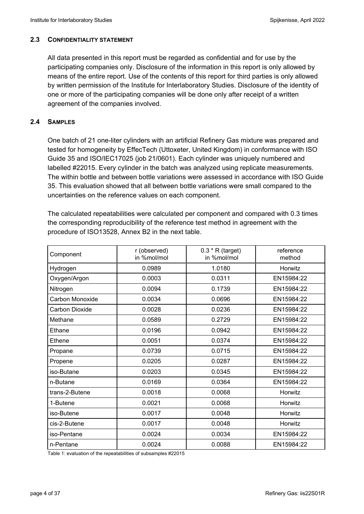### **2.3 CONFIDENTIALITY STATEMENT**

All data presented in this report must be regarded as confidential and for use by the participating companies only. Disclosure of the information in this report is only allowed by means of the entire report. Use of the contents of this report for third parties is only allowed by written permission of the Institute for Interlaboratory Studies. Disclosure of the identity of one or more of the participating companies will be done only after receipt of a written agreement of the companies involved.

### **2.4 SAMPLES**

One batch of 21 one-liter cylinders with an artificial Refinery Gas mixture was prepared and tested for homogeneity by EffecTech (Uttoxeter, United Kingdom) in conformance with ISO Guide 35 and ISO/IEC17025 (job 21/0601). Each cylinder was uniquely numbered and labelled #22015. Every cylinder in the batch was analyzed using replicate measurements. The within bottle and between bottle variations were assessed in accordance with ISO Guide 35. This evaluation showed that all between bottle variations were small compared to the uncertainties on the reference values on each component.

The calculated repeatabilities were calculated per component and compared with 0.3 times the corresponding reproducibility of the reference test method in agreement with the procedure of ISO13528, Annex B2 in the next table.

| Component       | r (observed)<br>in %mol/mol | $0.3 * R$ (target)<br>in %mol/mol | reference<br>method |
|-----------------|-----------------------------|-----------------------------------|---------------------|
| Hydrogen        | 0.0989                      | 1.0180                            | Horwitz             |
| Oxygen/Argon    | 0.0003                      | 0.0311                            | EN15984:22          |
| Nitrogen        | 0.0094                      | 0.1739                            | EN15984:22          |
| Carbon Monoxide | 0.0034                      | 0.0696                            | EN15984:22          |
| Carbon Dioxide  | 0.0028                      | 0.0236                            | EN15984:22          |
| Methane         | 0.0589                      | 0.2729                            | EN15984:22          |
| Ethane          | 0.0196                      | 0.0942                            | EN15984:22          |
| Ethene          | 0.0051                      | 0.0374                            | EN15984:22          |
| Propane         | 0.0739                      | 0.0715                            | EN15984:22          |
| Propene         | 0.0205                      | 0.0287                            | EN15984:22          |
| iso-Butane      | 0.0203                      | 0.0345                            | EN15984:22          |
| n-Butane        | 0.0169                      | 0.0364                            | EN15984:22          |
| trans-2-Butene  | 0.0018                      | 0.0068                            | Horwitz             |
| 1-Butene        | 0.0021                      | 0.0068                            | Horwitz             |
| iso-Butene      | 0.0017                      | 0.0048                            | Horwitz             |
| cis-2-Butene    | 0.0017                      | 0.0048                            | Horwitz             |
| iso-Pentane     | 0.0024                      | 0.0034                            | EN15984:22          |
| n-Pentane       | 0.0024                      | 0.0088                            | EN15984:22          |

Table 1: evaluation of the repeatabilities of subsamples #22015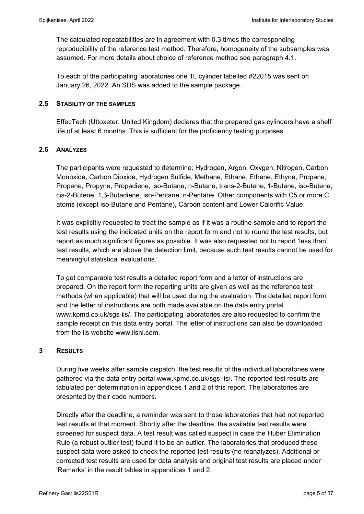The calculated repeatabilities are in agreement with 0.3 times the corresponding reproducibility of the reference test method. Therefore, homogeneity of the subsamples was assumed. For more details about choice of reference method see paragraph 4.1.

To each of the participating laboratories one 1L cylinder labelled #22015 was sent on January 26, 2022. An SDS was added to the sample package.

### **2.5 STABILITY OF THE SAMPLES**

EffecTech (Uttoxeter, United Kingdom) declares that the prepared gas cylinders have a shelf life of at least 6 months. This is sufficient for the proficiency testing purposes.

## **2.6 ANALYZES**

The participants were requested to determine: Hydrogen, Argon, Oxygen, Nitrogen, Carbon Monoxide, Carbon Dioxide, Hydrogen Sulfide, Methane, Ethane, Ethene, Ethyne, Propane, Propene, Propyne, Propadiene, iso-Butane, n-Butane, trans-2-Butene, 1-Butene, iso-Butene, cis-2-Butene, 1,3-Butadiene, iso-Pentane, n-Pentane, Other components with C5 or more C atoms (except iso-Butane and Pentane), Carbon content and Lower Calorific Value.

It was explicitly requested to treat the sample as if it was a routine sample and to report the test results using the indicated units on the report form and not to round the test results, but report as much significant figures as possible. It was also requested not to report 'less than' test results, which are above the detection limit, because such test results cannot be used for meaningful statistical evaluations.

To get comparable test results a detailed report form and a letter of instructions are prepared. On the report form the reporting units are given as well as the reference test methods (when applicable) that will be used during the evaluation. The detailed report form and the letter of instructions are both made available on the data entry portal www.kpmd.co.uk/sgs-iis/. The participating laboratories are also requested to confirm the sample receipt on this data entry portal. The letter of instructions can also be downloaded from the ijs website www jisnl com.

### **3 RESULTS**

During five weeks after sample dispatch, the test results of the individual laboratories were gathered via the data entry portal www.kpmd.co.uk/sgs-iis/. The reported test results are tabulated per determination in appendices 1 and 2 of this report. The laboratories are presented by their code numbers.

Directly after the deadline, a reminder was sent to those laboratories that had not reported test results at that moment. Shortly after the deadline, the available test results were screened for suspect data. A test result was called suspect in case the Huber Elimination Rule (a robust outlier test) found it to be an outlier. The laboratories that produced these suspect data were asked to check the reported test results (no reanalyzes). Additional or corrected test results are used for data analysis and original test results are placed under 'Remarks' in the result tables in appendices 1 and 2.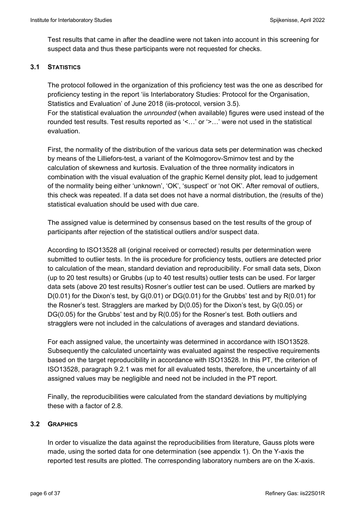Test results that came in after the deadline were not taken into account in this screening for suspect data and thus these participants were not requested for checks.

### **3.1 STATISTICS**

The protocol followed in the organization of this proficiency test was the one as described for proficiency testing in the report 'iis Interlaboratory Studies: Protocol for the Organisation, Statistics and Evaluation' of June 2018 (iis-protocol, version 3.5). For the statistical evaluation the *unrounded* (when available) figures were used instead of the rounded test results. Test results reported as '<…' or '>…' were not used in the statistical evaluation.

First, the normality of the distribution of the various data sets per determination was checked by means of the Lilliefors-test, a variant of the Kolmogorov-Smirnov test and by the calculation of skewness and kurtosis. Evaluation of the three normality indicators in combination with the visual evaluation of the graphic Kernel density plot, lead to judgement of the normality being either 'unknown', 'OK', 'suspect' or 'not OK'. After removal of outliers, this check was repeated. If a data set does not have a normal distribution, the (results of the) statistical evaluation should be used with due care.

The assigned value is determined by consensus based on the test results of the group of participants after rejection of the statistical outliers and/or suspect data.

According to ISO13528 all (original received or corrected) results per determination were submitted to outlier tests. In the iis procedure for proficiency tests, outliers are detected prior to calculation of the mean, standard deviation and reproducibility. For small data sets, Dixon (up to 20 test results) or Grubbs (up to 40 test results) outlier tests can be used. For larger data sets (above 20 test results) Rosner's outlier test can be used. Outliers are marked by  $D(0.01)$  for the Dixon's test, by  $G(0.01)$  or  $DG(0.01)$  for the Grubbs' test and by  $R(0.01)$  for the Rosner's test. Stragglers are marked by D(0.05) for the Dixon's test, by G(0.05) or DG(0.05) for the Grubbs' test and by R(0.05) for the Rosner's test. Both outliers and stragglers were not included in the calculations of averages and standard deviations.

For each assigned value, the uncertainty was determined in accordance with ISO13528. Subsequently the calculated uncertainty was evaluated against the respective requirements based on the target reproducibility in accordance with ISO13528. In this PT, the criterion of ISO13528, paragraph 9.2.1 was met for all evaluated tests, therefore, the uncertainty of all assigned values may be negligible and need not be included in the PT report.

Finally, the reproducibilities were calculated from the standard deviations by multiplying these with a factor of 2.8.

### **3.2 GRAPHICS**

In order to visualize the data against the reproducibilities from literature, Gauss plots were made, using the sorted data for one determination (see appendix 1). On the Y-axis the reported test results are plotted. The corresponding laboratory numbers are on the X-axis.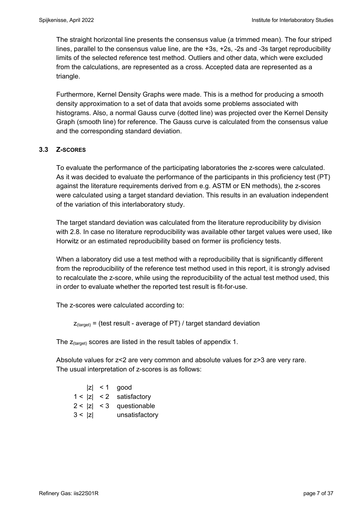The straight horizontal line presents the consensus value (a trimmed mean). The four striped lines, parallel to the consensus value line, are the +3s, +2s, -2s and -3s target reproducibility limits of the selected reference test method. Outliers and other data, which were excluded from the calculations, are represented as a cross. Accepted data are represented as a triangle.

Furthermore, Kernel Density Graphs were made. This is a method for producing a smooth density approximation to a set of data that avoids some problems associated with histograms. Also, a normal Gauss curve (dotted line) was projected over the Kernel Density Graph (smooth line) for reference. The Gauss curve is calculated from the consensus value and the corresponding standard deviation.

### **3.3 Z-SCORES**

To evaluate the performance of the participating laboratories the z-scores were calculated. As it was decided to evaluate the performance of the participants in this proficiency test (PT) against the literature requirements derived from e.g. ASTM or EN methods), the z-scores were calculated using a target standard deviation. This results in an evaluation independent of the variation of this interlaboratory study.

The target standard deviation was calculated from the literature reproducibility by division with 2.8. In case no literature reproducibility was available other target values were used, like Horwitz or an estimated reproducibility based on former iis proficiency tests.

When a laboratory did use a test method with a reproducibility that is significantly different from the reproducibility of the reference test method used in this report, it is strongly advised to recalculate the z-score, while using the reproducibility of the actual test method used, this in order to evaluate whether the reported test result is fit-for-use.

The z-scores were calculated according to:

 $Z_{\text{target}}$  = (test result - average of PT) / target standard deviation

The  $z_{\text{(target)}}$  scores are listed in the result tables of appendix 1.

Absolute values for z<2 are very common and absolute values for z>3 are very rare. The usual interpretation of z-scores is as follows:

|        | $ z  < 1$ good             |
|--------|----------------------------|
|        | $1 <  z  < 2$ satisfactory |
|        | $2 <  z  < 3$ questionable |
| 3 <  z | unsatisfactory             |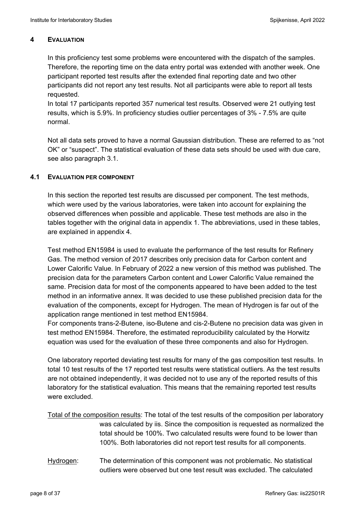## **4 EVALUATION**

In this proficiency test some problems were encountered with the dispatch of the samples. Therefore, the reporting time on the data entry portal was extended with another week. One participant reported test results after the extended final reporting date and two other participants did not report any test results. Not all participants were able to report all tests requested.

In total 17 participants reported 357 numerical test results. Observed were 21 outlying test results, which is 5.9%. In proficiency studies outlier percentages of 3% - 7.5% are quite normal.

Not all data sets proved to have a normal Gaussian distribution. These are referred to as "not OK" or "suspect". The statistical evaluation of these data sets should be used with due care, see also paragraph 3.1.

### **4.1 EVALUATION PER COMPONENT**

In this section the reported test results are discussed per component. The test methods, which were used by the various laboratories, were taken into account for explaining the observed differences when possible and applicable. These test methods are also in the tables together with the original data in appendix 1. The abbreviations, used in these tables, are explained in appendix 4.

Test method EN15984 is used to evaluate the performance of the test results for Refinery Gas. The method version of 2017 describes only precision data for Carbon content and Lower Calorific Value. In February of 2022 a new version of this method was published. The precision data for the parameters Carbon content and Lower Calorific Value remained the same. Precision data for most of the components appeared to have been added to the test method in an informative annex. It was decided to use these published precision data for the evaluation of the components, except for Hydrogen. The mean of Hydrogen is far out of the application range mentioned in test method EN15984.

For components trans-2-Butene, iso-Butene and cis-2-Butene no precision data was given in test method EN15984. Therefore, the estimated reproducibility calculated by the Horwitz equation was used for the evaluation of these three components and also for Hydrogen.

One laboratory reported deviating test results for many of the gas composition test results. In total 10 test results of the 17 reported test results were statistical outliers. As the test results are not obtained independently, it was decided not to use any of the reported results of this laboratory for the statistical evaluation. This means that the remaining reported test results were excluded.

Total of the composition results: The total of the test results of the composition per laboratory was calculated by iis. Since the composition is requested as normalized the total should be 100%. Two calculated results were found to be lower than 100%. Both laboratories did not report test results for all components.

Hydrogen: The determination of this component was not problematic. No statistical outliers were observed but one test result was excluded. The calculated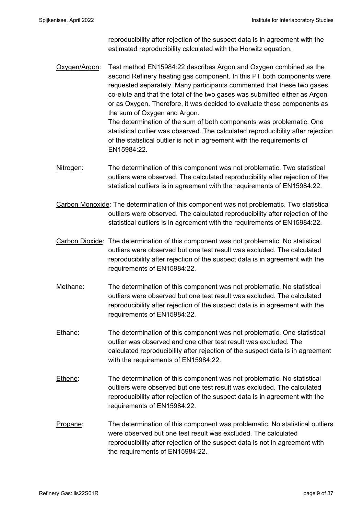reproducibility after rejection of the suspect data is in agreement with the estimated reproducibility calculated with the Horwitz equation.

Oxygen/Argon: Test method EN15984:22 describes Argon and Oxygen combined as the second Refinery heating gas component. In this PT both components were requested separately. Many participants commented that these two gases co-elute and that the total of the two gases was submitted either as Argon or as Oxygen. Therefore, it was decided to evaluate these components as the sum of Oxygen and Argon.

 The determination of the sum of both components was problematic. One statistical outlier was observed. The calculated reproducibility after rejection of the statistical outlier is not in agreement with the requirements of EN15984:22.

- Nitrogen: The determination of this component was not problematic. Two statistical outliers were observed. The calculated reproducibility after rejection of the statistical outliers is in agreement with the requirements of EN15984:22.
- Carbon Monoxide: The determination of this component was not problematic. Two statistical outliers were observed. The calculated reproducibility after rejection of the statistical outliers is in agreement with the requirements of EN15984:22.
- Carbon Dioxide: The determination of this component was not problematic. No statistical outliers were observed but one test result was excluded. The calculated reproducibility after rejection of the suspect data is in agreement with the requirements of EN15984:22.
- Methane: The determination of this component was not problematic. No statistical outliers were observed but one test result was excluded. The calculated reproducibility after rejection of the suspect data is in agreement with the requirements of EN15984:22.
- Ethane: The determination of this component was not problematic. One statistical outlier was observed and one other test result was excluded. The calculated reproducibility after rejection of the suspect data is in agreement with the requirements of EN15984:22.
- Ethene: The determination of this component was not problematic. No statistical outliers were observed but one test result was excluded. The calculated reproducibility after rejection of the suspect data is in agreement with the requirements of EN15984:22.
- Propane: The determination of this component was problematic. No statistical outliers were observed but one test result was excluded. The calculated reproducibility after rejection of the suspect data is not in agreement with the requirements of EN15984:22.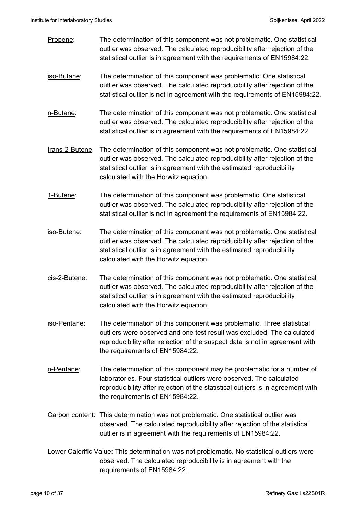- Propene: The determination of this component was not problematic. One statistical outlier was observed. The calculated reproducibility after rejection of the statistical outlier is in agreement with the requirements of EN15984:22.
- iso-Butane: The determination of this component was problematic. One statistical outlier was observed. The calculated reproducibility after rejection of the statistical outlier is not in agreement with the requirements of EN15984:22.
- n-Butane: The determination of this component was not problematic. One statistical outlier was observed. The calculated reproducibility after rejection of the statistical outlier is in agreement with the requirements of EN15984:22.
- trans-2-Butene: The determination of this component was not problematic. One statistical outlier was observed. The calculated reproducibility after rejection of the statistical outlier is in agreement with the estimated reproducibility calculated with the Horwitz equation.
- 1-Butene: The determination of this component was problematic. One statistical outlier was observed. The calculated reproducibility after rejection of the statistical outlier is not in agreement the requirements of EN15984:22.
- iso-Butene: The determination of this component was not problematic. One statistical outlier was observed. The calculated reproducibility after rejection of the statistical outlier is in agreement with the estimated reproducibility calculated with the Horwitz equation.
- cis-2-Butene: The determination of this component was not problematic. One statistical outlier was observed. The calculated reproducibility after rejection of the statistical outlier is in agreement with the estimated reproducibility calculated with the Horwitz equation.
- iso-Pentane: The determination of this component was problematic. Three statistical outliers were observed and one test result was excluded. The calculated reproducibility after rejection of the suspect data is not in agreement with the requirements of EN15984:22.
- n-Pentane: The determination of this component may be problematic for a number of laboratories. Four statistical outliers were observed. The calculated reproducibility after rejection of the statistical outliers is in agreement with the requirements of EN15984:22.
- Carbon content: This determination was not problematic. One statistical outlier was observed. The calculated reproducibility after rejection of the statistical outlier is in agreement with the requirements of EN15984:22.
- Lower Calorific Value: This determination was not problematic. No statistical outliers were observed. The calculated reproducibility is in agreement with the requirements of EN15984:22.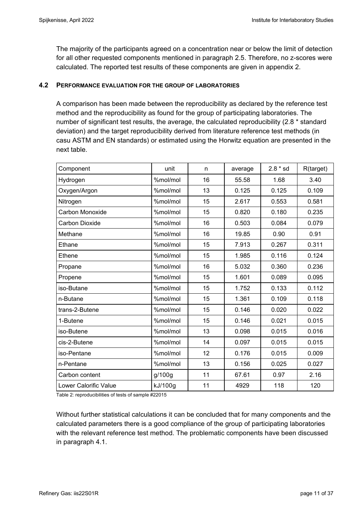The majority of the participants agreed on a concentration near or below the limit of detection for all other requested components mentioned in paragraph 2.5. Therefore, no z-scores were calculated. The reported test results of these components are given in appendix 2.

### **4.2 PERFORMANCE EVALUATION FOR THE GROUP OF LABORATORIES**

A comparison has been made between the reproducibility as declared by the reference test method and the reproducibility as found for the group of participating laboratories. The number of significant test results, the average, the calculated reproducibility (2.8 \* standard deviation) and the target reproducibility derived from literature reference test methods (in casu ASTM and EN standards) or estimated using the Horwitz equation are presented in the next table.

| Component                    | unit     | n  | average | $2.8 * sd$ | R(target) |
|------------------------------|----------|----|---------|------------|-----------|
| Hydrogen                     | %mol/mol | 16 | 55.58   | 1.68       | 3.40      |
| Oxygen/Argon                 | %mol/mol | 13 | 0.125   | 0.125      | 0.109     |
| Nitrogen                     | %mol/mol | 15 | 2.617   | 0.553      | 0.581     |
| Carbon Monoxide              | %mol/mol | 15 | 0.820   | 0.180      | 0.235     |
| Carbon Dioxide               | %mol/mol | 16 | 0.503   | 0.084      | 0.079     |
| Methane                      | %mol/mol | 16 | 19.85   | 0.90       | 0.91      |
| Ethane                       | %mol/mol | 15 | 7.913   | 0.267      | 0.311     |
| Ethene                       | %mol/mol | 15 | 1.985   | 0.116      | 0.124     |
| Propane                      | %mol/mol | 16 | 5.032   | 0.360      | 0.236     |
| Propene                      | %mol/mol | 15 | 1.601   | 0.089      | 0.095     |
| iso-Butane                   | %mol/mol | 15 | 1.752   | 0.133      | 0.112     |
| n-Butane                     | %mol/mol | 15 | 1.361   | 0.109      | 0.118     |
| trans-2-Butene               | %mol/mol | 15 | 0.146   | 0.020      | 0.022     |
| 1-Butene                     | %mol/mol | 15 | 0.146   | 0.021      | 0.015     |
| iso-Butene                   | %mol/mol | 13 | 0.098   | 0.015      | 0.016     |
| cis-2-Butene                 | %mol/mol | 14 | 0.097   | 0.015      | 0.015     |
| iso-Pentane                  | %mol/mol | 12 | 0.176   | 0.015      | 0.009     |
| n-Pentane                    | %mol/mol | 13 | 0.156   | 0.025      | 0.027     |
| Carbon content               | g/100g   | 11 | 67.61   | 0.97       | 2.16      |
| <b>Lower Calorific Value</b> | kJ/100g  | 11 | 4929    | 118        | 120       |

Table 2: reproducibilities of tests of sample #22015

Without further statistical calculations it can be concluded that for many components and the calculated parameters there is a good compliance of the group of participating laboratories with the relevant reference test method. The problematic components have been discussed in paragraph 4.1.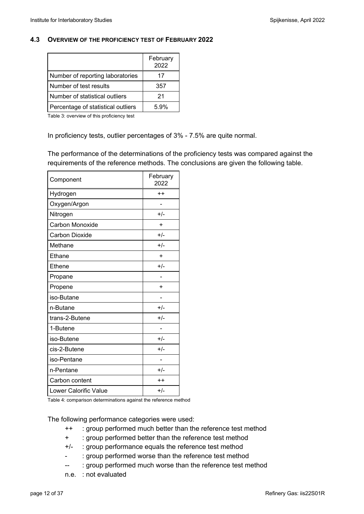### **4.3 OVERVIEW OF THE PROFICIENCY TEST OF FEBRUARY 2022**

|                                    | February<br>2022 |
|------------------------------------|------------------|
| Number of reporting laboratories   | 17               |
| Number of test results             | 357              |
| Number of statistical outliers     | 21               |
| Percentage of statistical outliers | 5.9%             |

Table 3: overview of this proficiency test

In proficiency tests, outlier percentages of 3% - 7.5% are quite normal.

The performance of the determinations of the proficiency tests was compared against the requirements of the reference methods. The conclusions are given the following table.

| Component             | February<br>2022 |
|-----------------------|------------------|
| Hydrogen              | $^{\mathrm{+}}$  |
| Oxygen/Argon          |                  |
| Nitrogen              | $+/-$            |
| Carbon Monoxide       | $\ddot{}$        |
| Carbon Dioxide        | $+/-$            |
| Methane               | $+/-$            |
| Ethane                | $\ddot{}$        |
| Ethene                | $+/-$            |
| Propane               |                  |
| Propene               | ÷                |
| iso-Butane            |                  |
| n-Butane              | $+/-$            |
| trans-2-Butene        | $+/-$            |
| 1-Butene              |                  |
| iso-Butene            | $+/-$            |
| cis-2-Butene          | $+/-$            |
| iso-Pentane           |                  |
| n-Pentane             | $+/-$            |
| Carbon content        | $^{\mathrm{+}}$  |
| Lower Calorific Value | $+/-$            |

Table 4: comparison determinations against the reference method

The following performance categories were used:

- ++ : group performed much better than the reference test method
- + : group performed better than the reference test method
- +/- : group performance equals the reference test method
- : group performed worse than the reference test method
- -- : group performed much worse than the reference test method
- n.e. : not evaluated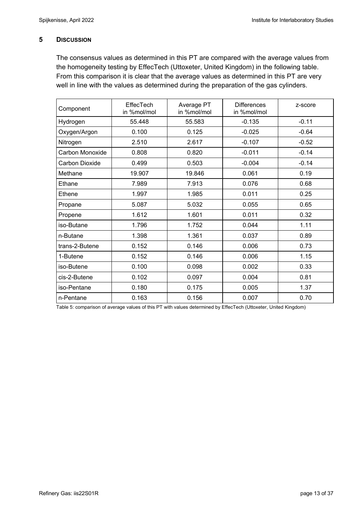### **5 DISCUSSION**

The consensus values as determined in this PT are compared with the average values from the homogeneity testing by EffecTech (Uttoxeter, United Kingdom) in the following table. From this comparison it is clear that the average values as determined in this PT are very well in line with the values as determined during the preparation of the gas cylinders.

| Component             | <b>EffecTech</b><br>in %mol/mol | Average PT<br>in %mol/mol | <b>Differences</b><br>in %mol/mol | z-score |
|-----------------------|---------------------------------|---------------------------|-----------------------------------|---------|
| Hydrogen              | 55.448                          | 55.583                    | $-0.135$                          | $-0.11$ |
| Oxygen/Argon          | 0.100                           | 0.125                     | $-0.025$                          | $-0.64$ |
| Nitrogen              | 2.510                           | 2.617                     | $-0.107$                          | $-0.52$ |
| Carbon Monoxide       | 0.808                           | 0.820                     | $-0.011$                          | $-0.14$ |
| <b>Carbon Dioxide</b> | 0.499                           | 0.503                     | $-0.004$                          | $-0.14$ |
| Methane               | 19.907                          | 19.846                    | 0.061                             | 0.19    |
| Ethane                | 7.989                           | 7.913                     | 0.076                             | 0.68    |
| Ethene                | 1.997                           | 1.985                     | 0.011                             | 0.25    |
| Propane               | 5.087                           | 5.032                     | 0.055                             | 0.65    |
| Propene               | 1.612                           | 1.601                     | 0.011                             | 0.32    |
| iso-Butane            | 1.796                           | 1.752                     | 0.044                             | 1.11    |
| n-Butane              | 1.398                           | 1.361                     | 0.037                             | 0.89    |
| trans-2-Butene        | 0.152                           | 0.146                     | 0.006                             | 0.73    |
| 1-Butene              | 0.152                           | 0.146                     | 0.006                             | 1.15    |
| iso-Butene            | 0.100                           | 0.098                     | 0.002                             | 0.33    |
| cis-2-Butene          | 0.102                           | 0.097                     | 0.004                             | 0.81    |
| iso-Pentane           | 0.180                           | 0.175                     | 0.005                             | 1.37    |
| n-Pentane             | 0.163                           | 0.156                     | 0.007                             | 0.70    |

Table 5: comparison of average values of this PT with values determined by EffecTech (Uttoxeter, United Kingdom)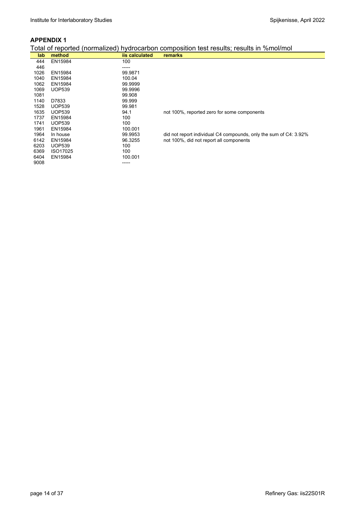|  |  |  |  | Total of reported (normalized) hydrocarbon composition test results; results in %mol/mol |
|--|--|--|--|------------------------------------------------------------------------------------------|
|--|--|--|--|------------------------------------------------------------------------------------------|

|      |               |                | roldi or roportod (hominalizod) hydrocarison composition toot roodito, roodito in 7011101/11101 |
|------|---------------|----------------|-------------------------------------------------------------------------------------------------|
| lab. | method        | iis calculated | <b>remarks</b>                                                                                  |
| 444  | EN15984       | 100            |                                                                                                 |
| 446  |               | -----          |                                                                                                 |
| 1026 | EN15984       | 99.9871        |                                                                                                 |
| 1040 | EN15984       | 100.04         |                                                                                                 |
| 1062 | EN15984       | 99.9999        |                                                                                                 |
| 1069 | <b>UOP539</b> | 99.9996        |                                                                                                 |
| 1081 |               | 99.908         |                                                                                                 |
| 1140 | D7833         | 99.999         |                                                                                                 |
| 1528 | <b>UOP539</b> | 99.981         |                                                                                                 |
| 1635 | <b>UOP539</b> | 94.1           | not 100%, reported zero for some components                                                     |
| 1737 | EN15984       | 100            |                                                                                                 |
| 1741 | <b>UOP539</b> | 100            |                                                                                                 |
| 1961 | EN15984       | 100.001        |                                                                                                 |
| 1964 | In house      | 99.9953        | did not report individual C4 compounds, only the sum of C4: 3.92%                               |
| 6142 | EN15984       | 96.3255        | not 100%, did not report all components                                                         |
| 6203 | <b>UOP539</b> | 100            |                                                                                                 |
| 6369 | ISO17025      | 100            |                                                                                                 |
| 6404 | EN15984       | 100.001        |                                                                                                 |
| 9008 |               | ------         |                                                                                                 |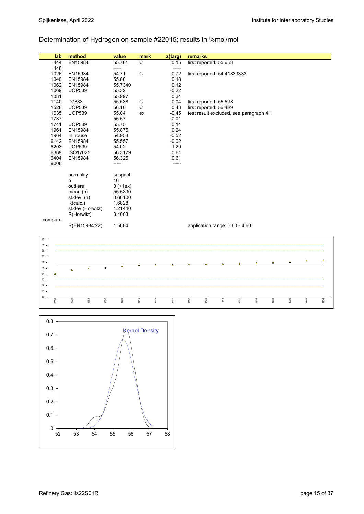# Determination of Hydrogen on sample #22015; results in %mol/mol

|             | lab          | method              |                         |                | value                 | mark           |      | z(targ)         | remarks |      |                        |                                         |      |          |          |                |      |
|-------------|--------------|---------------------|-------------------------|----------------|-----------------------|----------------|------|-----------------|---------|------|------------------------|-----------------------------------------|------|----------|----------|----------------|------|
|             | 444          | EN15984             |                         |                | 55.761                | $\mathbf C$    |      | 0.15            |         |      | first reported: 55.658 |                                         |      |          |          |                |      |
|             | 446          |                     |                         |                | -----                 |                |      | -----           |         |      |                        |                                         |      |          |          |                |      |
|             | 1026         | EN15984             |                         |                | 54.71                 | C              |      | $-0.72$         |         |      |                        | first reported: 54.41833333             |      |          |          |                |      |
|             | 1040<br>1062 | EN15984<br>EN15984  |                         |                | 55.80<br>55.7340      |                |      | 0.18<br>0.12    |         |      |                        |                                         |      |          |          |                |      |
|             | 1069         | <b>UOP539</b>       |                         |                | 55.32                 |                |      | $-0.22$         |         |      |                        |                                         |      |          |          |                |      |
|             | 1081         |                     |                         |                | 55.997                |                |      | 0.34            |         |      |                        |                                         |      |          |          |                |      |
|             | 1140         | D7833               |                         |                | 55.538                | C              |      | $-0.04$         |         |      | first reported: 55.598 |                                         |      |          |          |                |      |
|             | 1528         | <b>UOP539</b>       |                         |                | 56.10                 | C              |      | 0.43            |         |      | first reported: 56.429 |                                         |      |          |          |                |      |
|             | 1635<br>1737 | <b>UOP539</b>       |                         |                | 55.04                 | ex             |      | $-0.45$         |         |      |                        | test result excluded, see paragraph 4.1 |      |          |          |                |      |
|             | 1741         | <b>UOP539</b>       |                         |                | 55.57<br>55.75        |                |      | $-0.01$<br>0.14 |         |      |                        |                                         |      |          |          |                |      |
|             | 1961         | EN15984             |                         |                | 55.875                |                |      | 0.24            |         |      |                        |                                         |      |          |          |                |      |
|             | 1964         | In house            |                         |                | 54.953                |                |      | $-0.52$         |         |      |                        |                                         |      |          |          |                |      |
|             | 6142         | EN15984             |                         |                | 55.557                |                |      | $-0.02$         |         |      |                        |                                         |      |          |          |                |      |
|             | 6203<br>6369 | <b>UOP539</b>       |                         |                | 54.02                 |                |      | $-1.29$         |         |      |                        |                                         |      |          |          |                |      |
|             | 6404         | ISO17025<br>EN15984 |                         |                | 56.3179<br>56.325     |                |      | 0.61<br>0.61    |         |      |                        |                                         |      |          |          |                |      |
|             | 9008         |                     |                         |                | -----                 |                |      | -----           |         |      |                        |                                         |      |          |          |                |      |
|             |              |                     |                         |                |                       |                |      |                 |         |      |                        |                                         |      |          |          |                |      |
|             |              | normality           |                         |                | suspect               |                |      |                 |         |      |                        |                                         |      |          |          |                |      |
|             |              | n<br>outliers       |                         |                | 16                    |                |      |                 |         |      |                        |                                         |      |          |          |                |      |
|             |              | mean $(n)$          |                         |                | $0 (+1ex)$<br>55.5830 |                |      |                 |         |      |                        |                                         |      |          |          |                |      |
|             |              | st.dev. (n)         |                         |                | 0.60100               |                |      |                 |         |      |                        |                                         |      |          |          |                |      |
|             |              | R(calc.)            |                         |                | 1.6828                |                |      |                 |         |      |                        |                                         |      |          |          |                |      |
|             |              |                     | st.dev.(Horwitz)        |                | 1.21440<br>3.4003     |                |      |                 |         |      |                        |                                         |      |          |          |                |      |
| compare     |              | R(Horwitz)          |                         |                |                       |                |      |                 |         |      |                        |                                         |      |          |          |                |      |
|             |              |                     | 1.5684<br>R(EN15984:22) |                |                       |                |      |                 |         |      |                        | application range: 3.60 - 4.60          |      |          |          |                |      |
|             |              |                     |                         |                |                       |                |      |                 |         |      |                        |                                         |      |          |          |                |      |
| 60          |              |                     |                         |                |                       |                |      |                 |         |      |                        |                                         |      |          |          |                |      |
| 59<br>58    |              |                     |                         |                |                       |                |      |                 |         |      |                        |                                         |      |          |          |                |      |
| 57          |              |                     |                         |                |                       |                |      |                 |         |      |                        |                                         |      |          |          |                |      |
| 56          |              |                     |                         |                |                       |                |      |                 |         |      |                        |                                         |      | $\Delta$ | $\Delta$ | $\pmb{\Delta}$ | Δ    |
| 55          |              | $\pmb{\Delta}$      | $\Delta$                | $\pmb{\times}$ | Δ                     |                |      |                 |         |      |                        |                                         |      |          |          |                |      |
| 54          | Δ            |                     |                         |                |                       |                |      |                 |         |      |                        |                                         |      |          |          |                |      |
| 53<br>52    |              |                     |                         |                |                       |                |      |                 |         |      |                        |                                         |      |          |          |                |      |
| 51          |              |                     |                         |                |                       |                |      |                 |         |      |                        |                                         |      |          |          |                |      |
| 50          | 6203         | 1026                | 1964                    | 1635           | 1069                  | 1140           | 6142 | 1737            | 1062    | 1741 | 44                     | 1040                                    | 1961 | 1081     | 1528     | 6369           | 6404 |
|             |              |                     |                         |                |                       |                |      |                 |         |      |                        |                                         |      |          |          |                |      |
|             |              |                     |                         |                |                       |                |      |                 |         |      |                        |                                         |      |          |          |                |      |
| 0.8         |              |                     |                         |                |                       |                |      |                 |         |      |                        |                                         |      |          |          |                |      |
|             |              |                     |                         |                |                       | Kernel Density |      |                 |         |      |                        |                                         |      |          |          |                |      |
| 0.7         |              |                     |                         |                |                       |                |      |                 |         |      |                        |                                         |      |          |          |                |      |
|             |              |                     |                         |                |                       |                |      |                 |         |      |                        |                                         |      |          |          |                |      |
| $0.6\,$     |              |                     |                         |                |                       |                |      |                 |         |      |                        |                                         |      |          |          |                |      |
|             |              |                     |                         |                |                       |                |      |                 |         |      |                        |                                         |      |          |          |                |      |
| 0.5         |              |                     |                         |                |                       |                |      |                 |         |      |                        |                                         |      |          |          |                |      |
|             |              |                     |                         |                |                       |                |      |                 |         |      |                        |                                         |      |          |          |                |      |
| 0.4         |              |                     |                         |                |                       |                |      |                 |         |      |                        |                                         |      |          |          |                |      |
|             |              |                     |                         |                |                       |                |      |                 |         |      |                        |                                         |      |          |          |                |      |
| $0.3\,$     |              |                     |                         |                |                       |                |      |                 |         |      |                        |                                         |      |          |          |                |      |
|             |              |                     |                         |                |                       |                |      |                 |         |      |                        |                                         |      |          |          |                |      |
| $0.2\,$     |              |                     |                         |                |                       |                |      |                 |         |      |                        |                                         |      |          |          |                |      |
|             |              |                     |                         |                |                       |                |      |                 |         |      |                        |                                         |      |          |          |                |      |
| 0.1         |              |                     |                         |                |                       |                |      |                 |         |      |                        |                                         |      |          |          |                |      |
|             |              |                     |                         |                |                       |                |      |                 |         |      |                        |                                         |      |          |          |                |      |
| $\mathsf 0$ | 52           | 53                  | 54                      |                | 55<br>56              | 57             |      | 58              |         |      |                        |                                         |      |          |          |                |      |
|             |              |                     |                         |                |                       |                |      |                 |         |      |                        |                                         |      |          |          |                |      |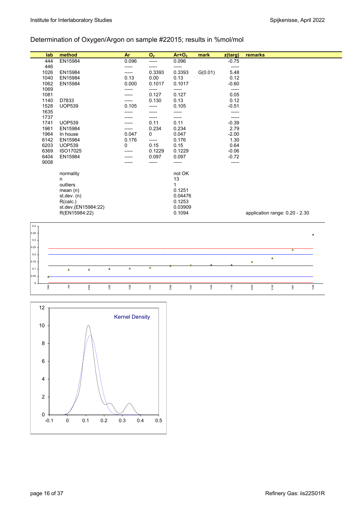# Determination of Oxygen/Argon on sample #22015; results in %mol/mol

| lab                 | method                   |          |          | Ar            | $\mathbf{O}_2$ | $Ar+O2$           | mark    | z(targ)      | remarks        |                |                                |                |
|---------------------|--------------------------|----------|----------|---------------|----------------|-------------------|---------|--------------|----------------|----------------|--------------------------------|----------------|
| 444                 | EN15984                  |          |          | 0.096         | -----          | 0.096             |         | $-0.75$      |                |                |                                |                |
| 446                 |                          |          |          |               | -----          | -----             |         | -----        |                |                |                                |                |
| 1026<br>1040        | EN15984<br>EN15984       |          |          | -----<br>0.13 | 0.3393<br>0.00 | 0.3393<br>0.13    | G(0.01) | 5.48<br>0.12 |                |                |                                |                |
| 1062                | EN15984                  |          |          | 0.000         | 0.1017         | 0.1017            |         | $-0.60$      |                |                |                                |                |
| 1069                |                          |          |          | -----         | -----          | -----             |         | -----        |                |                |                                |                |
| 1081                |                          |          |          | -----         | 0.127          | 0.127             |         | 0.05         |                |                |                                |                |
| 1140                | D7833                    |          |          | -----         | 0.130          | 0.13              |         | 0.12         |                |                |                                |                |
| 1528                | <b>UOP539</b>            |          |          | 0.105         | -----          | 0.105             |         | $-0.51$      |                |                |                                |                |
| 1635                |                          |          |          |               | -----          | -----             |         | -----        |                |                |                                |                |
| 1737                |                          |          |          |               | -----          | -----             |         | -----        |                |                |                                |                |
| 1741                | <b>UOP539</b>            |          |          |               | 0.11           | 0.11              |         | $-0.39$      |                |                |                                |                |
| 1961                | EN15984                  |          |          |               | 0.234          | 0.234             |         | 2.79         |                |                |                                |                |
| 1964                | In house                 |          |          | 0.047         | 0              | 0.047             |         | $-2.00$      |                |                |                                |                |
| 6142<br>6203        | EN15984<br><b>UOP539</b> |          |          | 0.176<br>0    | -----<br>0.15  | 0.176<br>0.15     |         | 1.30<br>0.64 |                |                |                                |                |
| 6369                | ISO17025                 |          |          |               | 0.1229         | 0.1229            |         | $-0.06$      |                |                |                                |                |
| 6404                | EN15984                  |          |          |               | 0.097          | 0.097             |         | $-0.72$      |                |                |                                |                |
| 9008                |                          |          |          |               | -----          | -----             |         | -----        |                |                |                                |                |
|                     |                          |          |          |               |                |                   |         |              |                |                |                                |                |
|                     | normality                |          |          |               |                | not OK            |         |              |                |                |                                |                |
|                     | n                        |          |          |               |                | 13                |         |              |                |                |                                |                |
|                     | outliers                 |          |          |               |                | $\mathbf{1}$      |         |              |                |                |                                |                |
|                     | mean(n)                  |          |          |               |                | 0.1251            |         |              |                |                |                                |                |
|                     | st.dev. (n)<br>R(calc.)  |          |          |               |                | 0.04476<br>0.1253 |         |              |                |                |                                |                |
|                     | st.dev.(EN15984:22)      |          |          |               |                | 0.03909           |         |              |                |                |                                |                |
|                     | R(EN15984:22)            |          |          |               |                | 0.1094            |         |              |                |                | application range: 0.20 - 2.30 |                |
|                     |                          |          |          |               |                |                   |         |              |                |                |                                |                |
| 0.4                 |                          |          |          |               |                |                   |         |              |                |                |                                |                |
| 0.35                |                          |          |          |               |                |                   |         |              |                |                |                                |                |
| 0.3                 |                          |          |          |               |                |                   |         |              |                |                |                                | $\pmb{\times}$ |
|                     |                          |          |          |               |                |                   |         |              |                |                |                                |                |
| 0.25                |                          |          |          |               |                |                   |         |              |                |                | $\overline{\mathbf{A}}$        |                |
| $0.2\,$             |                          |          |          |               |                |                   |         |              |                | $\pmb{\Delta}$ |                                |                |
| 0.15                |                          |          |          |               |                |                   |         |              | $\pmb{\Delta}$ |                |                                |                |
| 0.1                 | $\Delta$                 | $\Delta$ | $\Delta$ | $\Delta$      | $\Delta$       |                   |         |              |                |                |                                |                |
| 0.05                |                          |          |          |               |                |                   |         |              |                |                |                                |                |
|                     |                          |          | 1062     | 1528          | 1741           | 6369<br>1081      | 1040    | 1140         | 6203           | 6142           | 1961                           |                |
| $\mathbb O$<br>1964 | 44                       | 6404     |          |               |                |                   |         |              |                |                |                                | 1026           |

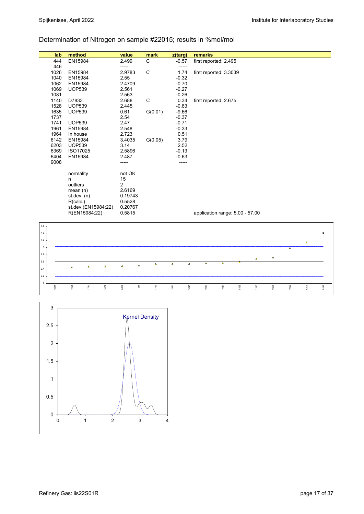# Determination of Nitrogen on sample #22015; results in %mol/mol

| lab              | method              |                | value           |          | mark        | z(targ)  |          | remarks                         |          |      |      |      |          |                |                |
|------------------|---------------------|----------------|-----------------|----------|-------------|----------|----------|---------------------------------|----------|------|------|------|----------|----------------|----------------|
| 444              | EN15984             |                | 2.499           |          | C           | $-0.57$  |          | first reported: 2.495           |          |      |      |      |          |                |                |
| 446              |                     |                | -----           |          |             | -----    |          |                                 |          |      |      |      |          |                |                |
| 1026             | EN15984             |                | 2.9783          |          | C           | 1.74     |          | first reported: 3.3039          |          |      |      |      |          |                |                |
| 1040             | EN15984             |                | 2.55            |          |             | $-0.32$  |          |                                 |          |      |      |      |          |                |                |
| 1062             | EN15984             |                | 2.4709          |          |             | $-0.70$  |          |                                 |          |      |      |      |          |                |                |
| 1069             | <b>UOP539</b>       |                | 2.561           |          |             | $-0.27$  |          |                                 |          |      |      |      |          |                |                |
| 1081             |                     |                | 2.563           |          |             | $-0.26$  |          |                                 |          |      |      |      |          |                |                |
| 1140             | D7833               |                | 2.688           |          | $\mathbf C$ | 0.34     |          | first reported: 2.675           |          |      |      |      |          |                |                |
| 1528             | <b>UOP539</b>       |                | 2.445           |          |             | $-0.83$  |          |                                 |          |      |      |      |          |                |                |
| 1635             | <b>UOP539</b>       |                | 0.61            |          | G(0.01)     | $-9.66$  |          |                                 |          |      |      |      |          |                |                |
| 1737             |                     |                | 2.54            |          |             | $-0.37$  |          |                                 |          |      |      |      |          |                |                |
| 1741             | <b>UOP539</b>       |                | 2.47            |          |             | $-0.71$  |          |                                 |          |      |      |      |          |                |                |
| 1961             | EN15984             |                | 2.548           |          |             | $-0.33$  |          |                                 |          |      |      |      |          |                |                |
| 1964             | In house            |                | 2.723           |          |             | 0.51     |          |                                 |          |      |      |      |          |                |                |
| 6142             | EN15984             |                | 3.4035          |          | G(0.05)     | 3.79     |          |                                 |          |      |      |      |          |                |                |
| 6203             | <b>UOP539</b>       |                | 3.14            |          |             | 2.52     |          |                                 |          |      |      |      |          |                |                |
| 6369<br>6404     | ISO17025            |                | 2.5896<br>2.487 |          |             | $-0.13$  |          |                                 |          |      |      |      |          |                |                |
| 9008             | EN15984             |                |                 |          |             | $-0.63$  |          |                                 |          |      |      |      |          |                |                |
|                  |                     |                | -----           |          |             | -----    |          |                                 |          |      |      |      |          |                |                |
|                  | normality           |                | not OK          |          |             |          |          |                                 |          |      |      |      |          |                |                |
|                  | n                   |                | 15              |          |             |          |          |                                 |          |      |      |      |          |                |                |
|                  | outliers            |                | 2               |          |             |          |          |                                 |          |      |      |      |          |                |                |
|                  | mean(n)             |                | 2.6169          |          |             |          |          |                                 |          |      |      |      |          |                |                |
|                  | st.dev. (n)         |                | 0.19743         |          |             |          |          |                                 |          |      |      |      |          |                |                |
|                  | R(calc.)            |                | 0.5528          |          |             |          |          |                                 |          |      |      |      |          |                |                |
|                  | st.dev.(EN15984:22) |                | 0.20767         |          |             |          |          |                                 |          |      |      |      |          |                |                |
|                  | R(EN15984:22)       |                | 0.5815          |          |             |          |          | application range: 5.00 - 57.00 |          |      |      |      |          |                |                |
|                  |                     |                |                 |          |             |          |          |                                 |          |      |      |      |          |                |                |
| 3.6 <sub>7</sub> |                     |                |                 |          |             |          |          |                                 |          |      |      |      |          |                |                |
|                  |                     |                |                 |          |             |          |          |                                 |          |      |      |      |          |                |                |
| $3.4\,$          |                     |                |                 |          |             |          |          |                                 |          |      |      |      |          |                | $\pmb{\times}$ |
| $3.2\,$          |                     |                |                 |          |             |          |          |                                 |          |      |      |      |          | $\pmb{\Delta}$ |                |
| $\mathbf 3$      |                     |                |                 |          |             |          |          |                                 |          |      |      |      | $\Delta$ |                |                |
| $2.8\,$          |                     |                |                 |          |             |          |          |                                 |          |      |      |      |          |                |                |
|                  |                     |                |                 |          |             |          |          |                                 |          |      | Δ    | Δ    |          |                |                |
| $2.6\,$          | $\pmb{\Delta}$      | $\pmb{\Delta}$ | $\pmb{\Delta}$  | $\Delta$ | $\Delta$    | $\Delta$ | $\Delta$ | $\Delta$                        | $\Delta$ | Δ    |      |      |          |                |                |
| $2.4\,$          | $\Delta$            |                |                 |          |             |          |          |                                 |          |      |      |      |          |                |                |
| $2.2\,$          |                     |                |                 |          |             |          |          |                                 |          |      |      |      |          |                |                |
| $\sqrt{2}$       |                     |                |                 |          |             |          |          |                                 |          |      |      |      |          |                |                |
| 1635             | 1528<br>1741        | 1062           | 6404            | 44       | 1737        | 1961     | 1040     | 1069                            | 1081     | 6369 | 1140 | 1964 | 1026     | 6203           | 6142           |
|                  |                     |                |                 |          |             |          |          |                                 |          |      |      |      |          |                |                |

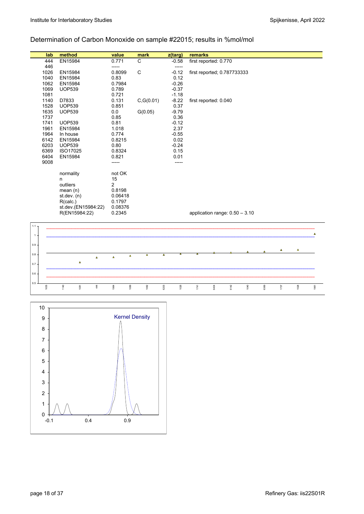# Determination of Carbon Monoxide on sample #22015; results in %mol/mol

|              | lab          | method                     |    | value             |          | mark       | z(targ)                 | remarks |                                  |      |      |      |      |          |      |
|--------------|--------------|----------------------------|----|-------------------|----------|------------|-------------------------|---------|----------------------------------|------|------|------|------|----------|------|
|              | 444          | EN15984                    |    | 0.771             |          | C          | $-0.58$                 |         | first reported: 0.770            |      |      |      |      |          |      |
|              | 446          |                            |    | -----             |          |            | -----                   |         |                                  |      |      |      |      |          |      |
|              | 1026<br>1040 | EN15984<br>EN15984         |    | 0.8099<br>0.83    |          | C          | $-0.12$<br>0.12         |         | first reported; 0.787733333      |      |      |      |      |          |      |
|              | 1062         | EN15984                    |    | 0.7984            |          |            | $-0.26$                 |         |                                  |      |      |      |      |          |      |
|              | 1069         | <b>UOP539</b>              |    | 0.789             |          |            | $-0.37$                 |         |                                  |      |      |      |      |          |      |
|              | 1081         |                            |    | 0.721             |          |            | $-1.18$                 |         |                                  |      |      |      |      |          |      |
|              | 1140         | D7833                      |    | 0.131             |          | C, G(0.01) | $-8.22$                 |         | first reported: 0.040            |      |      |      |      |          |      |
|              | 1528         | <b>UOP539</b>              |    | 0.851             |          |            | 0.37                    |         |                                  |      |      |      |      |          |      |
|              | 1635         | <b>UOP539</b>              |    | 0.0               |          | G(0.05)    | $-9.79$                 |         |                                  |      |      |      |      |          |      |
|              | 1737         |                            |    | 0.85              |          |            | 0.36                    |         |                                  |      |      |      |      |          |      |
|              | 1741         | <b>UOP539</b>              |    | 0.81              |          |            | $-0.12$                 |         |                                  |      |      |      |      |          |      |
|              | 1961         | EN15984                    |    | 1.018             |          |            | 2.37                    |         |                                  |      |      |      |      |          |      |
|              | 1964<br>6142 | In house<br>EN15984        |    | 0.774<br>0.8215   |          |            | $-0.55$<br>0.02         |         |                                  |      |      |      |      |          |      |
|              | 6203         | <b>UOP539</b>              |    | 0.80              |          |            | $-0.24$                 |         |                                  |      |      |      |      |          |      |
|              | 6369         | ISO17025                   |    | 0.8324            |          |            | 0.15                    |         |                                  |      |      |      |      |          |      |
|              | 6404         | EN15984                    |    | 0.821             |          |            | 0.01                    |         |                                  |      |      |      |      |          |      |
|              | 9008         |                            |    | -----             |          |            | -----                   |         |                                  |      |      |      |      |          |      |
|              |              |                            |    |                   |          |            |                         |         |                                  |      |      |      |      |          |      |
|              |              | normality                  |    | not OK            |          |            |                         |         |                                  |      |      |      |      |          |      |
|              |              | n                          |    | 15                |          |            |                         |         |                                  |      |      |      |      |          |      |
|              |              | outliers                   |    | $\overline{2}$    |          |            |                         |         |                                  |      |      |      |      |          |      |
|              |              | mean $(n)$<br>st. dev. (n) |    | 0.8198<br>0.06418 |          |            |                         |         |                                  |      |      |      |      |          |      |
|              |              | R(calc.)                   |    | 0.1797            |          |            |                         |         |                                  |      |      |      |      |          |      |
|              |              | st.dev.(EN15984:22)        |    | 0.08376           |          |            |                         |         |                                  |      |      |      |      |          |      |
|              |              | R(EN15984:22)              |    | 0.2345            |          |            |                         |         | application range: $0.50 - 3.10$ |      |      |      |      |          |      |
|              |              |                            |    |                   |          |            |                         |         |                                  |      |      |      |      |          |      |
| 1.1          |              |                            |    |                   |          |            |                         |         |                                  |      |      |      |      |          |      |
| $\mathbf{1}$ |              |                            |    |                   |          |            |                         |         |                                  |      |      |      |      |          | Δ    |
|              |              |                            |    |                   |          |            |                         |         |                                  |      |      |      |      |          |      |
| 0.9          |              |                            |    |                   |          |            |                         |         |                                  |      |      |      |      | $\Delta$ |      |
| 0.8          |              |                            |    |                   | $\Delta$ | $\Delta$   | $\overline{\mathbf{A}}$ |         |                                  |      |      |      | Δ    |          |      |
|              |              | $\pmb{\Delta}$             | Ä  | $\Delta$          |          |            |                         |         |                                  |      |      |      |      |          |      |
| 0.7          |              |                            |    |                   |          |            |                         |         |                                  |      |      |      |      |          |      |
| 0.6          |              |                            |    |                   |          |            |                         |         |                                  |      |      |      |      |          |      |
|              |              |                            |    |                   |          |            |                         |         |                                  |      |      |      |      |          |      |
| 0.5          | 1635         | 1140<br>1081               | 44 | 1964              | 1069     | 1062       | 6203<br>1026            | 1741    | 6404                             | 6142 | 1040 | 6369 | 1737 | 1528     | 1961 |
|              |              |                            |    |                   |          |            |                         |         |                                  |      |      |      |      |          |      |

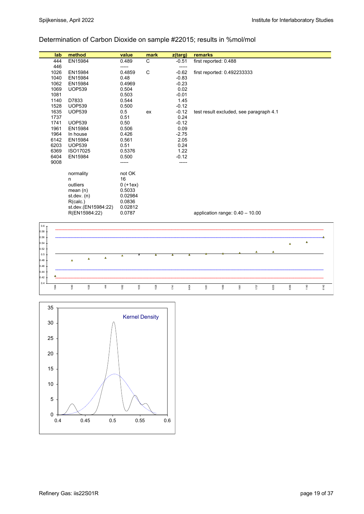## Determination of Carbon Dioxide on sample #22015; results in %mol/mol

| lab          | method                           | value          | mark | z(targ)      | remarks                                                      |
|--------------|----------------------------------|----------------|------|--------------|--------------------------------------------------------------|
| 444          | EN15984                          | 0.489          | C    | $-0.51$      | first reported: 0.488                                        |
| 446          |                                  | -----          |      | -----        |                                                              |
| 1026         | EN15984                          | 0.4859         | C    | $-0.62$      | first reported: 0.492233333                                  |
| 1040         | EN15984                          | 0.48           |      | $-0.83$      |                                                              |
| 1062         | EN15984                          | 0.4969         |      | $-0.23$      |                                                              |
| 1069         | <b>UOP539</b>                    | 0.504          |      | 0.02         |                                                              |
| 1081         |                                  | 0.503          |      | $-0.01$      |                                                              |
| 1140         | D7833                            | 0.544          |      | 1.45         |                                                              |
| 1528         | <b>UOP539</b>                    | 0.500          |      | $-0.12$      |                                                              |
| 1635         | <b>UOP539</b>                    | 0.5            | ex   | $-0.12$      | test result excluded, see paragraph 4.1                      |
| 1737         |                                  | 0.51           |      | 0.24         |                                                              |
| 1741         | <b>UOP539</b>                    | 0.50           |      | $-0.12$      |                                                              |
| 1961         | EN15984                          | 0.506          |      | 0.09         |                                                              |
| 1964         | In house                         | 0.426          |      | $-2.75$      |                                                              |
| 6142<br>6203 | EN15984<br><b>UOP539</b>         | 0.561<br>0.51  |      | 2.05<br>0.24 |                                                              |
| 6369         | ISO17025                         | 0.5376         |      | 1.22         |                                                              |
| 6404         | EN15984                          | 0.500          |      | $-0.12$      |                                                              |
| 9008         |                                  |                |      | -----        |                                                              |
|              |                                  | -----          |      |              |                                                              |
|              | normality                        | not OK         |      |              |                                                              |
|              | n                                | 16             |      |              |                                                              |
|              | outliers                         | $0 (+1ex)$     |      |              |                                                              |
|              | mean(n)                          | 0.5033         |      |              |                                                              |
|              | st.dev. (n)                      | 0.02984        |      |              |                                                              |
|              | R(calc.)                         | 0.0836         |      |              |                                                              |
|              | st.dev.(EN15984:22)              | 0.02812        |      |              |                                                              |
|              | R(EN15984:22)                    | 0.0787         |      |              | application range: $0.40 - 10.00$                            |
|              |                                  |                |      |              |                                                              |
| $0.6\,$      |                                  |                |      |              |                                                              |
| 0.58         |                                  |                |      |              |                                                              |
| 0.56         |                                  |                |      |              |                                                              |
| 0.54         |                                  |                |      |              | Δ<br>$\Delta$                                                |
| 0.52         |                                  |                |      |              |                                                              |
| 0.5          |                                  | $\pmb{\Delta}$ | А    | Δ.           | Δ<br>Δ<br>Δ.                                                 |
| 0.48         | $\Delta$<br>$\Delta$<br>$\Delta$ |                |      |              |                                                              |
| 0.46         |                                  |                |      |              |                                                              |
| 0.44         |                                  |                |      |              |                                                              |
| 0.42         |                                  |                |      |              |                                                              |
| 0.4          | 44                               |                |      |              |                                                              |
| 1964         | 1040<br>1026                     | 1062<br>1635   | 1528 | 1741<br>6404 | 1081<br>1961<br>6142<br>1069<br>1737<br>6203<br>6369<br>1140 |
|              |                                  |                |      |              |                                                              |

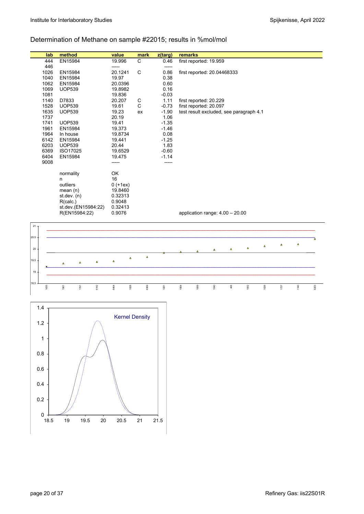# Determination of Methane on sample #22015; results in %mol/mol

| lab          | method                           | value          | mark         | z(targ)         | remarks                                 |      |          |      |          |      |          |      |
|--------------|----------------------------------|----------------|--------------|-----------------|-----------------------------------------|------|----------|------|----------|------|----------|------|
| 444          | EN15984                          | 19.996         | C            | 0.46            | first reported: 19.959                  |      |          |      |          |      |          |      |
| 446          |                                  | -----          |              | -----           |                                         |      |          |      |          |      |          |      |
| 1026         | EN15984                          | 20.1241        | $\mathsf{C}$ | 0.86            | first reported: 20.04468333             |      |          |      |          |      |          |      |
| 1040         | EN15984                          | 19.97          |              | 0.38            |                                         |      |          |      |          |      |          |      |
| 1062         | EN15984                          | 20.0396        |              | 0.60            |                                         |      |          |      |          |      |          |      |
| 1069         | <b>UOP539</b>                    | 19.8982        |              | 0.16            |                                         |      |          |      |          |      |          |      |
| 1081         |                                  | 19.836         |              | $-0.03$         |                                         |      |          |      |          |      |          |      |
| 1140         | D7833                            | 20.207         | C            | 1.11            | first reported: 20.229                  |      |          |      |          |      |          |      |
| 1528         | <b>UOP539</b>                    | 19.61          | $\mathsf{C}$ | $-0.73$         | first reported: 20.097                  |      |          |      |          |      |          |      |
| 1635<br>1737 | <b>UOP539</b>                    | 19.23<br>20.19 | ex           | $-1.90$<br>1.06 | test result excluded, see paragraph 4.1 |      |          |      |          |      |          |      |
| 1741         | <b>UOP539</b>                    | 19.41          |              | $-1.35$         |                                         |      |          |      |          |      |          |      |
| 1961         | EN15984                          | 19.373         |              | $-1.46$         |                                         |      |          |      |          |      |          |      |
| 1964         | In house                         | 19.8734        |              | 0.08            |                                         |      |          |      |          |      |          |      |
| 6142         | EN15984                          | 19.441         |              | $-1.25$         |                                         |      |          |      |          |      |          |      |
| 6203         | <b>UOP539</b>                    | 20.44          |              | 1.83            |                                         |      |          |      |          |      |          |      |
| 6369         | ISO17025                         | 19.6529        |              | $-0.60$         |                                         |      |          |      |          |      |          |      |
| 6404         | EN15984                          | 19.475         |              | $-1.14$         |                                         |      |          |      |          |      |          |      |
| 9008         |                                  | -----          |              |                 |                                         |      |          |      |          |      |          |      |
|              |                                  |                |              |                 |                                         |      |          |      |          |      |          |      |
|              | normality                        | OK             |              |                 |                                         |      |          |      |          |      |          |      |
|              | n                                | 16             |              |                 |                                         |      |          |      |          |      |          |      |
|              | outliers                         | $0 (+1ex)$     |              |                 |                                         |      |          |      |          |      |          |      |
|              | mean(n)                          | 19.8460        |              |                 |                                         |      |          |      |          |      |          |      |
|              | st. dev. (n)                     | 0.32313        |              |                 |                                         |      |          |      |          |      |          |      |
|              | R(calc.)                         | 0.9048         |              |                 |                                         |      |          |      |          |      |          |      |
|              | st.dev.(EN15984:22)              | 0.32413        |              |                 |                                         |      |          |      |          |      |          |      |
|              | R(EN15984:22)                    | 0.9076         |              |                 | application range: $4.00 - 20.00$       |      |          |      |          |      |          |      |
|              |                                  |                |              |                 |                                         |      |          |      |          |      |          |      |
| 21           |                                  |                |              |                 |                                         |      |          |      |          |      |          |      |
|              |                                  |                |              |                 |                                         |      |          |      |          |      |          |      |
| 20.5         |                                  |                |              |                 |                                         |      |          |      |          |      |          | A    |
|              |                                  |                |              |                 |                                         |      |          | Δ    | $\Delta$ | Δ    | $\Delta$ |      |
| $20\,$       |                                  |                |              |                 |                                         | Δ    | $\Delta$ |      |          |      |          |      |
| 19.5         |                                  | $\Delta$       | $\Delta$     |                 |                                         |      |          |      |          |      |          |      |
|              | $\Delta$<br>$\Delta$<br>$\Delta$ | $\Delta$       |              |                 |                                         |      |          |      |          |      |          |      |
| 19           |                                  |                |              |                 |                                         |      |          |      |          |      |          |      |
|              |                                  |                |              |                 |                                         |      |          |      |          |      |          |      |
| 18.5         |                                  |                |              |                 |                                         |      |          |      |          |      |          |      |
| 1635         | 6142<br>1961<br>1741             | 6404<br>1528   | 6369         | 1081            | 1964<br>1069                            | 1040 | 44       | 1062 | 1026     | 1737 | 1140     | 6203 |

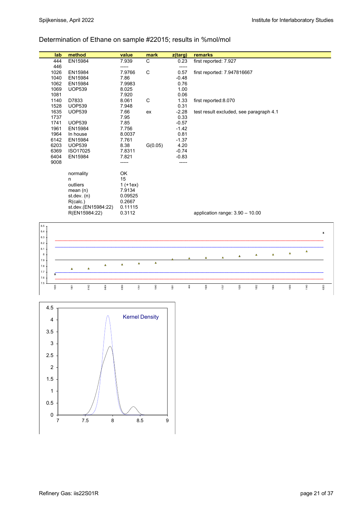## Determination of Ethane on sample #22015; results in %mol/mol

|         | lab                     | method                                       |          | value      | mark           | z(targ) |     | remarks                                 |                  |                |                |          |          |                |                |
|---------|-------------------------|----------------------------------------------|----------|------------|----------------|---------|-----|-----------------------------------------|------------------|----------------|----------------|----------|----------|----------------|----------------|
|         | 444                     | EN15984                                      |          | 7.939      | $\overline{C}$ | 0.23    |     | first reported: 7.927                   |                  |                |                |          |          |                |                |
|         | 446                     |                                              | -----    |            |                | -----   |     |                                         |                  |                |                |          |          |                |                |
|         | 1026                    | EN15984                                      |          | 7.9766     | C              | 0.57    |     | first reported: 7.947816667             |                  |                |                |          |          |                |                |
|         | 1040                    | EN15984                                      | 7.86     |            |                | $-0.48$ |     |                                         |                  |                |                |          |          |                |                |
|         | 1062                    | EN15984                                      |          | 7.9983     |                | 0.76    |     |                                         |                  |                |                |          |          |                |                |
|         | 1069                    | <b>UOP539</b>                                |          | 8.025      |                | 1.00    |     |                                         |                  |                |                |          |          |                |                |
|         | 1081                    |                                              |          | 7.920      |                | 0.06    |     |                                         |                  |                |                |          |          |                |                |
|         | 1140                    | D7833                                        |          | 8.061      | C              | 1.33    |     | first reported: 8.070                   |                  |                |                |          |          |                |                |
|         | 1528                    | <b>UOP539</b>                                |          | 7.948      |                | 0.31    |     |                                         |                  |                |                |          |          |                |                |
|         | 1635                    | <b>UOP539</b>                                | 7.66     |            | ex             | $-2.28$ |     | test result excluded, see paragraph 4.1 |                  |                |                |          |          |                |                |
|         | 1737                    |                                              | 7.95     |            |                | 0.33    |     |                                         |                  |                |                |          |          |                |                |
|         | 1741                    | <b>UOP539</b>                                | 7.85     |            |                | $-0.57$ |     |                                         |                  |                |                |          |          |                |                |
|         | 1961                    | EN15984                                      |          | 7.756      |                | $-1.42$ |     |                                         |                  |                |                |          |          |                |                |
|         | 1964                    | In house                                     |          | 8.0037     |                | 0.81    |     |                                         |                  |                |                |          |          |                |                |
|         | 6142                    | EN15984                                      |          | 7.761      |                | $-1.37$ |     |                                         |                  |                |                |          |          |                |                |
|         | 6203                    | <b>UOP539</b>                                | 8.38     |            | G(0.05)        | 4.20    |     |                                         |                  |                |                |          |          |                |                |
|         | 6369                    | ISO17025                                     |          | 7.8311     |                | $-0.74$ |     |                                         |                  |                |                |          |          |                |                |
|         | 6404                    | EN15984                                      |          | 7.821      |                | $-0.83$ |     |                                         |                  |                |                |          |          |                |                |
|         | 9008                    |                                              | -----    |            |                | -----   |     |                                         |                  |                |                |          |          |                |                |
|         |                         |                                              | OK       |            |                |         |     |                                         |                  |                |                |          |          |                |                |
|         |                         | normality                                    | 15       |            |                |         |     |                                         |                  |                |                |          |          |                |                |
|         |                         | n<br>outliers                                |          | $1 (+1ex)$ |                |         |     |                                         |                  |                |                |          |          |                |                |
|         |                         | mean(n)                                      |          | 7.9134     |                |         |     |                                         |                  |                |                |          |          |                |                |
|         |                         | st.dev. (n)                                  |          | 0.09525    |                |         |     |                                         |                  |                |                |          |          |                |                |
|         |                         | R(calc.)                                     |          | 0.2667     |                |         |     |                                         |                  |                |                |          |          |                |                |
|         |                         | st.dev.(EN15984:22)                          |          | 0.11115    |                |         |     |                                         |                  |                |                |          |          |                |                |
|         |                         | R(EN15984:22)                                |          | 0.3112     |                |         |     | application range: 3.90 - 10.00         |                  |                |                |          |          |                |                |
|         |                         |                                              |          |            |                |         |     |                                         |                  |                |                |          |          |                |                |
| $8.5\,$ |                         |                                              |          |            |                |         |     |                                         |                  |                |                |          |          |                |                |
| $8.4\,$ |                         |                                              |          |            |                |         |     |                                         |                  |                |                |          |          |                | $\pmb{\times}$ |
| 8.3     |                         |                                              |          |            |                |         |     |                                         |                  |                |                |          |          |                |                |
| $8.2\,$ |                         |                                              |          |            |                |         |     |                                         |                  |                |                |          |          |                |                |
| 8.1     |                         |                                              |          |            |                |         |     |                                         |                  |                |                |          |          | $\pmb{\Delta}$ |                |
| 8       |                         |                                              |          |            |                |         |     | $\Delta$                                | $\blacktriangle$ | $\pmb{\Delta}$ | $\pmb{\Delta}$ | $\Delta$ | $\Delta$ |                |                |
| $7.9\,$ |                         |                                              |          | $\Delta$   | $\Delta$       |         |     |                                         |                  |                |                |          |          |                |                |
| 7.8     |                         | $\Delta$<br>$\pmb{\Delta}$<br>$\pmb{\Delta}$ | $\Delta$ |            |                |         |     |                                         |                  |                |                |          |          |                |                |
| $7.7\,$ | $\overline{\mathbf{x}}$ |                                              |          |            |                |         |     |                                         |                  |                |                |          |          |                |                |
| $7.6\,$ |                         |                                              |          |            |                |         |     |                                         |                  |                |                |          |          |                |                |
| $7.5\,$ | 1635                    | 6142<br>6404<br>1961                         | 6369     | 1741       | 1040           | 1081    | 444 | 1528                                    | 1737             | 1026           | 1062           | 1964     | 1069     | 1140           | 6203           |
|         |                         |                                              |          |            |                |         |     |                                         |                  |                |                |          |          |                |                |

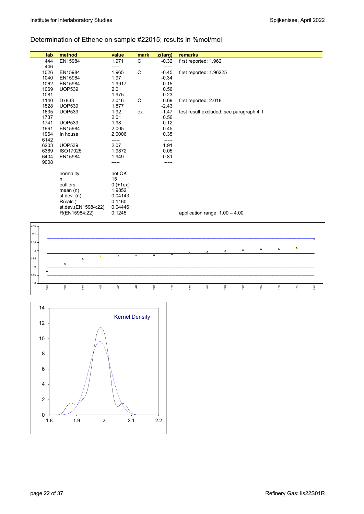# Determination of Ethene on sample #22015; results in %mol/mol

| lab             | method               | value           | mark         | z(targ)                                            | remarks                                 |      |      |          |      |          |          |      |
|-----------------|----------------------|-----------------|--------------|----------------------------------------------------|-----------------------------------------|------|------|----------|------|----------|----------|------|
| 444             | EN15984              | 1.971           | $\mathbf C$  | $-0.32$                                            | first reported: 1.962                   |      |      |          |      |          |          |      |
| 446             |                      | -----           |              | $-----$                                            |                                         |      |      |          |      |          |          |      |
| 1026            | EN15984              | 1.965           | $\mathsf{C}$ | $-0.45$                                            | first reported: 1.96225                 |      |      |          |      |          |          |      |
| 1040            | EN15984              | 1.97            |              | $-0.34$                                            |                                         |      |      |          |      |          |          |      |
| 1062            | EN15984              | 1.9917          |              | 0.15                                               |                                         |      |      |          |      |          |          |      |
| 1069            | <b>UOP539</b>        | 2.01            |              | 0.56                                               |                                         |      |      |          |      |          |          |      |
| 1081            |                      | 1.975           |              | $-0.23$                                            |                                         |      |      |          |      |          |          |      |
| 1140            | D7833                | 2.016           | C            | 0.69                                               | first reported: 2.018                   |      |      |          |      |          |          |      |
| 1528            | <b>UOP539</b>        | 1.877           |              | $-2.43$                                            |                                         |      |      |          |      |          |          |      |
| 1635            | <b>UOP539</b>        | 1.92            | ex           | $-1.47$                                            | test result excluded, see paragraph 4.1 |      |      |          |      |          |          |      |
| 1737            |                      | 2.01            |              | 0.56                                               |                                         |      |      |          |      |          |          |      |
| 1741            | <b>UOP539</b>        | 1.98            |              | $-0.12$                                            |                                         |      |      |          |      |          |          |      |
| 1961            | EN15984              | 2.005           |              | 0.45                                               |                                         |      |      |          |      |          |          |      |
| 1964<br>6142    | In house             | 2.0006<br>----- |              | 0.35<br>-----                                      |                                         |      |      |          |      |          |          |      |
| 6203            | <b>UOP539</b>        | 2.07            |              | 1.91                                               |                                         |      |      |          |      |          |          |      |
| 6369            | ISO17025             | 1.9872          |              | 0.05                                               |                                         |      |      |          |      |          |          |      |
| 6404            | EN15984              | 1.949           |              | $-0.81$                                            |                                         |      |      |          |      |          |          |      |
| 9008            |                      | -----           |              | -----                                              |                                         |      |      |          |      |          |          |      |
|                 |                      |                 |              |                                                    |                                         |      |      |          |      |          |          |      |
|                 | normality            | not OK          |              |                                                    |                                         |      |      |          |      |          |          |      |
|                 | n                    | 15              |              |                                                    |                                         |      |      |          |      |          |          |      |
|                 | outliers             | $0 (+1ex)$      |              |                                                    |                                         |      |      |          |      |          |          |      |
|                 | mean(n)              | 1.9852          |              |                                                    |                                         |      |      |          |      |          |          |      |
|                 | st. dev. (n)         | 0.04143         |              |                                                    |                                         |      |      |          |      |          |          |      |
|                 | R(calc.)             | 0.1160          |              |                                                    |                                         |      |      |          |      |          |          |      |
|                 | st.dev.(EN15984:22)  | 0.04446         |              |                                                    |                                         |      |      |          |      |          |          |      |
|                 | R(EN15984:22)        | 0.1245          |              |                                                    | application range: $1.00 - 4.00$        |      |      |          |      |          |          |      |
|                 |                      |                 |              |                                                    |                                         |      |      |          |      |          |          |      |
| 2.15            |                      |                 |              |                                                    |                                         |      |      |          |      |          |          |      |
| 2.1             |                      |                 |              |                                                    |                                         |      |      |          |      |          |          |      |
|                 |                      |                 |              |                                                    |                                         |      |      |          |      |          |          |      |
| 2.05            |                      |                 |              |                                                    |                                         |      |      |          |      |          |          |      |
| $\overline{2}$  |                      |                 |              |                                                    |                                         |      | Δ    | $\Delta$ | Δ    | $\Delta$ | $\Delta$ |      |
| .95             | $\Delta$<br>$\Delta$ | $\Delta$        | $\Delta$     | $\overline{\mathbf{r}}$<br>$\overline{\mathbf{A}}$ |                                         |      |      |          |      |          |          |      |
|                 | $\pmb{\times}$       |                 |              |                                                    |                                         |      |      |          |      |          |          |      |
| 1.9             |                      |                 |              |                                                    |                                         |      |      |          |      |          |          |      |
| $\Delta$<br>.85 |                      |                 |              |                                                    |                                         |      |      |          |      |          |          |      |
|                 |                      |                 |              |                                                    |                                         |      |      |          |      |          |          |      |
| 1.8<br>1528     | 1635<br>6404<br>1026 | 1040            | 44           | 1081<br>1741                                       | 6369                                    | 1062 | 1964 | 1961     | 1069 | 1737     | 1140     | 6203 |
|                 |                      |                 |              |                                                    |                                         |      |      |          |      |          |          |      |
|                 |                      |                 |              |                                                    |                                         |      |      |          |      |          |          |      |

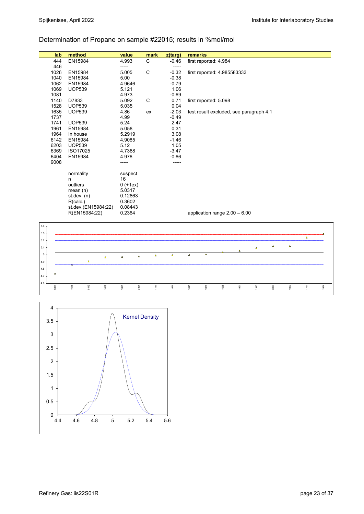## Determination of Propane on sample #22015; results in %mol/mol

|                | lab  | method                  | value             | mark           | z(targ)  | remarks  |                       |                                         |      |          |          |          |                |      |
|----------------|------|-------------------------|-------------------|----------------|----------|----------|-----------------------|-----------------------------------------|------|----------|----------|----------|----------------|------|
|                | 444  | EN15984                 | 4.993             | $\mathsf{C}$   | $-0.46$  |          | first reported: 4.984 |                                         |      |          |          |          |                |      |
|                | 446  |                         | -----             |                | -----    |          |                       |                                         |      |          |          |          |                |      |
|                | 1026 | EN15984                 | 5.005             | $\mathsf{C}$   | $-0.32$  |          |                       | first reported: 4.985583333             |      |          |          |          |                |      |
|                | 1040 | EN15984                 | 5.00              |                | $-0.38$  |          |                       |                                         |      |          |          |          |                |      |
|                | 1062 | EN15984                 | 4.9646            |                | $-0.79$  |          |                       |                                         |      |          |          |          |                |      |
|                | 1069 | <b>UOP539</b>           | 5.121             |                | 1.06     |          |                       |                                         |      |          |          |          |                |      |
|                | 1081 |                         | 4.973             |                | $-0.69$  |          |                       |                                         |      |          |          |          |                |      |
|                | 1140 | D7833                   | 5.092             | C              | 0.71     |          | first reported: 5.098 |                                         |      |          |          |          |                |      |
|                | 1528 | <b>UOP539</b>           | 5.035             |                | 0.04     |          |                       |                                         |      |          |          |          |                |      |
|                | 1635 | <b>UOP539</b>           | 4.86              | ex             | $-2.03$  |          |                       | test result excluded, see paragraph 4.1 |      |          |          |          |                |      |
|                | 1737 |                         | 4.99              |                | $-0.49$  |          |                       |                                         |      |          |          |          |                |      |
|                | 1741 | <b>UOP539</b>           | 5.24              |                | 2.47     |          |                       |                                         |      |          |          |          |                |      |
|                | 1961 | EN15984                 | 5.058             |                | 0.31     |          |                       |                                         |      |          |          |          |                |      |
|                | 1964 | In house                | 5.2919            |                | 3.08     |          |                       |                                         |      |          |          |          |                |      |
|                | 6142 | EN15984                 | 4.9085            |                | $-1.46$  |          |                       |                                         |      |          |          |          |                |      |
|                | 6203 | <b>UOP539</b>           | 5.12              |                | 1.05     |          |                       |                                         |      |          |          |          |                |      |
|                | 6369 | ISO17025                | 4.7388            |                | $-3.47$  |          |                       |                                         |      |          |          |          |                |      |
|                | 6404 | EN15984                 | 4.976             |                | $-0.66$  |          |                       |                                         |      |          |          |          |                |      |
|                | 9008 |                         | -----             |                | -----    |          |                       |                                         |      |          |          |          |                |      |
|                |      |                         |                   |                |          |          |                       |                                         |      |          |          |          |                |      |
|                |      | normality               | suspect           |                |          |          |                       |                                         |      |          |          |          |                |      |
|                |      | n                       | 16                |                |          |          |                       |                                         |      |          |          |          |                |      |
|                |      | outliers                | $0 (+1ex)$        |                |          |          |                       |                                         |      |          |          |          |                |      |
|                |      | mean $(n)$              | 5.0317            |                |          |          |                       |                                         |      |          |          |          |                |      |
|                |      | st.dev. (n)<br>R(calc.) | 0.12863<br>0.3602 |                |          |          |                       |                                         |      |          |          |          |                |      |
|                |      | st.dev.(EN15984:22)     | 0.08443           |                |          |          |                       |                                         |      |          |          |          |                |      |
|                |      | R(EN15984:22)           | 0.2364            |                |          |          |                       | application range $2.00 - 6.00$         |      |          |          |          |                |      |
|                |      |                         |                   |                |          |          |                       |                                         |      |          |          |          |                |      |
| $5.4\,$        |      |                         |                   |                |          |          |                       |                                         |      |          |          |          |                |      |
|                |      |                         |                   |                |          |          |                       |                                         |      |          |          |          |                |      |
| 5.3            |      |                         |                   |                |          |          |                       |                                         |      |          |          |          | $\pmb{\Delta}$ |      |
| 5.2            |      |                         |                   |                |          |          |                       |                                         |      |          |          |          |                |      |
| 5.1            |      |                         |                   |                |          |          |                       |                                         |      | $\Delta$ | $\Delta$ | $\Delta$ |                |      |
| $\mathfrak{s}$ |      |                         |                   | $\pmb{\Delta}$ | $\Delta$ | $\Delta$ | $\Delta$              |                                         |      |          |          |          |                |      |
|                |      | $\Delta$                | $\Delta$          | $\Delta$       |          |          |                       |                                         |      |          |          |          |                |      |
| $4.9\,$        |      | Δ                       |                   |                |          |          |                       |                                         |      |          |          |          |                |      |
| $4.8\,$        |      |                         |                   |                |          |          |                       |                                         |      |          |          |          |                |      |
| $4.7\,$        | Δ    |                         |                   |                |          |          |                       |                                         |      |          |          |          |                |      |
| 4.6            |      |                         |                   |                |          |          |                       |                                         |      |          |          |          |                |      |
|                | 6369 | 1635<br>6142<br>1062    | 1081              | 6404<br>1737   | 44       | 1040     | 1026                  | 1528                                    | 1961 | 1140     | 6203     | 1069     | 1741           | 1964 |
|                |      |                         |                   |                |          |          |                       |                                         |      |          |          |          |                |      |

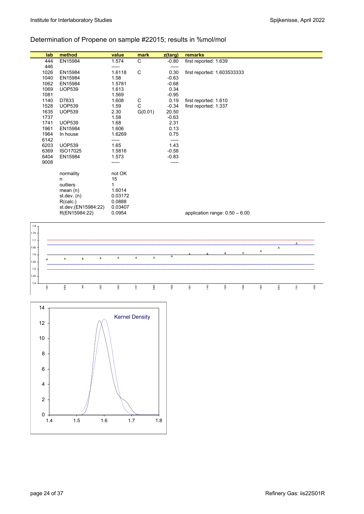# Determination of Propene on sample #22015; results in %mol/mol

|         | lab          | method              |          |          | value          | mark         |          | z(targ)            | remarks |                       |                                  |      |          |          |      |      |
|---------|--------------|---------------------|----------|----------|----------------|--------------|----------|--------------------|---------|-----------------------|----------------------------------|------|----------|----------|------|------|
|         | 444          | EN15984             |          |          | 1.574          | C            |          | $-0.80$            |         | first reported: 1.639 |                                  |      |          |          |      |      |
|         | 446          |                     |          |          | -----          |              |          | -----              |         |                       |                                  |      |          |          |      |      |
|         | 1026         | EN15984             |          |          | 1.6118         | $\mathsf C$  |          | 0.30               |         |                       | first reported: 1.603533333      |      |          |          |      |      |
|         | 1040<br>1062 | EN15984<br>EN15984  |          |          | 1.58<br>1.5781 |              |          | $-0.63$<br>$-0.68$ |         |                       |                                  |      |          |          |      |      |
|         | 1069         | <b>UOP539</b>       |          |          | 1.613          |              |          | 0.34               |         |                       |                                  |      |          |          |      |      |
|         | 1081         |                     |          |          | 1.569          |              |          | $-0.95$            |         |                       |                                  |      |          |          |      |      |
|         | 1140         | D7833               |          |          | 1.608          | ${\bf C}$    |          | 0.19               |         | first reported: 1.610 |                                  |      |          |          |      |      |
|         | 1528         | <b>UOP539</b>       |          |          | 1.59           | $\mathsf{C}$ |          | $-0.34$            |         | first reported: 1.337 |                                  |      |          |          |      |      |
|         | 1635         | <b>UOP539</b>       |          |          | 2.30           | G(0.01)      |          | 20.50              |         |                       |                                  |      |          |          |      |      |
|         | 1737         |                     |          |          | 1.58           |              |          | $-0.63$            |         |                       |                                  |      |          |          |      |      |
|         | 1741         | <b>UOP539</b>       |          |          | 1.68           |              |          | 2.31               |         |                       |                                  |      |          |          |      |      |
|         | 1961         | EN15984             |          |          | 1.606          |              |          | 0.13               |         |                       |                                  |      |          |          |      |      |
|         | 1964         | In house            |          |          | 1.6269         |              |          | 0.75               |         |                       |                                  |      |          |          |      |      |
|         | 6142         |                     |          |          | -----          |              |          | -----              |         |                       |                                  |      |          |          |      |      |
|         | 6203         | <b>UOP539</b>       |          |          | 1.65           |              |          | 1.43               |         |                       |                                  |      |          |          |      |      |
|         | 6369         | ISO17025            |          |          | 1.5816         |              |          | $-0.58$            |         |                       |                                  |      |          |          |      |      |
|         | 6404         | EN15984             |          |          | 1.573          |              |          | $-0.83$            |         |                       |                                  |      |          |          |      |      |
|         | 9008         |                     |          |          | -----          |              |          | -----              |         |                       |                                  |      |          |          |      |      |
|         |              | normality           |          |          | not OK         |              |          |                    |         |                       |                                  |      |          |          |      |      |
|         |              | n                   |          |          | 15             |              |          |                    |         |                       |                                  |      |          |          |      |      |
|         |              | outliers            |          |          | $\mathbf{1}$   |              |          |                    |         |                       |                                  |      |          |          |      |      |
|         |              | mean(n)             |          |          | 1.6014         |              |          |                    |         |                       |                                  |      |          |          |      |      |
|         |              | st.dev. (n)         |          |          | 0.03172        |              |          |                    |         |                       |                                  |      |          |          |      |      |
|         |              | R(calc.)            |          |          | 0.0888         |              |          |                    |         |                       |                                  |      |          |          |      |      |
|         |              | st.dev.(EN15984:22) |          |          | 0.03407        |              |          |                    |         |                       |                                  |      |          |          |      |      |
|         |              | R(EN15984:22)       |          |          | 0.0954         |              |          |                    |         |                       | application range: $0.50 - 6.00$ |      |          |          |      |      |
| $1.8\,$ |              |                     |          |          |                |              |          |                    |         |                       |                                  |      |          |          |      |      |
|         |              |                     |          |          |                |              |          |                    |         |                       |                                  |      |          |          |      |      |
| .75     |              |                     |          |          |                |              |          |                    |         |                       |                                  |      |          |          |      |      |
| 1.7     |              |                     |          |          |                |              |          |                    |         |                       |                                  |      |          |          | Δ    |      |
| 1.65    |              |                     |          |          |                |              |          |                    |         |                       |                                  |      | $\Delta$ | $\Delta$ |      |      |
| $1.6 -$ |              |                     |          |          | $\Delta$       | $\Delta$     | $\Delta$ | $\pmb{\Delta}$     |         |                       |                                  |      |          |          |      |      |
| 1.55    | $\Delta$     | $\Delta$            | $\Delta$ | $\Delta$ |                |              |          |                    |         |                       |                                  |      |          |          |      |      |
| 1.5     |              |                     |          |          |                |              |          |                    |         |                       |                                  |      |          |          |      |      |
|         |              |                     |          |          |                |              |          |                    |         |                       |                                  |      |          |          |      |      |
| $.45 -$ |              |                     |          |          |                |              |          |                    |         |                       |                                  |      |          |          |      |      |
| 1.4     | 1081         | 6404                | 444      | 1062     | 1040           | 1737         | 6369     | 1528               | 1961    | 1140                  | 1026                             | 1069 | 1964     | 6203     | 1741 | 1635 |
|         |              |                     |          |          |                |              |          |                    |         |                       |                                  |      |          |          |      |      |
|         |              |                     |          |          |                |              |          |                    |         |                       |                                  |      |          |          |      |      |

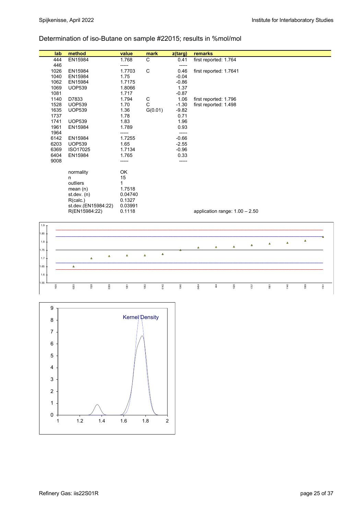## Determination of iso-Butane on sample #22015; results in %mol/mol

| lab              |   | method              |          | value    | mark           |          | z(targ) | remarks |                        |                                  |                |                |      |          |        |
|------------------|---|---------------------|----------|----------|----------------|----------|---------|---------|------------------------|----------------------------------|----------------|----------------|------|----------|--------|
| 444              |   | EN15984             |          | 1.768    | C              |          | 0.41    |         | first reported: 1.764  |                                  |                |                |      |          |        |
| 446              |   |                     |          | -----    |                |          | $--- -$ |         |                        |                                  |                |                |      |          |        |
| 1026             |   | EN15984             |          | 1.7703   | $\mathsf C$    |          | 0.46    |         | first reported: 1.7641 |                                  |                |                |      |          |        |
| 1040             |   | EN15984             |          | 1.75     |                |          | $-0.04$ |         |                        |                                  |                |                |      |          |        |
| 1062             |   | EN15984             |          | 1.7175   |                |          | $-0.86$ |         |                        |                                  |                |                |      |          |        |
| 1069             |   | <b>UOP539</b>       |          | 1.8066   |                |          | 1.37    |         |                        |                                  |                |                |      |          |        |
| 1081             |   |                     |          | 1.717    |                |          | $-0.87$ |         |                        |                                  |                |                |      |          |        |
| 1140             |   | D7833               |          | 1.794    | C              |          | 1.06    |         | first reported: 1.796  |                                  |                |                |      |          |        |
| 1528             |   | <b>UOP539</b>       |          | 1.70     | $\mathsf{C}$   |          | $-1.30$ |         | first reported: 1.498  |                                  |                |                |      |          |        |
| 1635             |   | <b>UOP539</b>       |          | 1.36     | G(0.01)        |          | $-9.82$ |         |                        |                                  |                |                |      |          |        |
| 1737             |   |                     |          | 1.78     |                |          | 0.71    |         |                        |                                  |                |                |      |          |        |
| 1741             |   | <b>UOP539</b>       |          | 1.83     |                |          | 1.96    |         |                        |                                  |                |                |      |          |        |
| 1961             |   | EN15984             |          | 1.789    |                |          | 0.93    |         |                        |                                  |                |                |      |          |        |
| 1964             |   |                     |          | -----    |                |          | -----   |         |                        |                                  |                |                |      |          |        |
| 6142             |   | EN15984             |          | 1.7255   |                |          | $-0.66$ |         |                        |                                  |                |                |      |          |        |
| 6203             |   | <b>UOP539</b>       |          | 1.65     |                |          | $-2.55$ |         |                        |                                  |                |                |      |          |        |
| 6369             |   | ISO17025            |          | 1.7134   |                |          | $-0.96$ |         |                        |                                  |                |                |      |          |        |
| 6404             |   | EN15984             |          | 1.765    |                |          | 0.33    |         |                        |                                  |                |                |      |          |        |
| 9008             |   |                     |          | -----    |                |          | -----   |         |                        |                                  |                |                |      |          |        |
|                  |   | normality           |          | OK       |                |          |         |         |                        |                                  |                |                |      |          |        |
|                  | n |                     |          | 15       |                |          |         |         |                        |                                  |                |                |      |          |        |
|                  |   | outliers            |          | 1        |                |          |         |         |                        |                                  |                |                |      |          |        |
|                  |   | mean $(n)$          |          | 1.7518   |                |          |         |         |                        |                                  |                |                |      |          |        |
|                  |   | st dev. $(n)$       |          | 0.04740  |                |          |         |         |                        |                                  |                |                |      |          |        |
|                  |   | R(calc.)            |          | 0.1327   |                |          |         |         |                        |                                  |                |                |      |          |        |
|                  |   | st.dev.(EN15984:22) |          | 0.03991  |                |          |         |         |                        |                                  |                |                |      |          |        |
|                  |   | R(EN15984:22)       |          | 0.1118   |                |          |         |         |                        | application range: $1.00 - 2.50$ |                |                |      |          |        |
|                  |   |                     |          |          |                |          |         |         |                        |                                  |                |                |      |          |        |
| 1.9 <sub>7</sub> |   |                     |          |          |                |          |         |         |                        |                                  |                |                |      |          |        |
|                  |   |                     |          |          |                |          |         |         |                        |                                  |                |                |      |          |        |
| 1.85             |   |                     |          |          |                |          |         |         |                        |                                  |                |                |      |          |        |
| 1.8              |   |                     |          |          |                |          |         |         |                        |                                  |                | $\pmb{\Delta}$ | Δ    | $\Delta$ |        |
| 1.75             |   |                     |          |          |                |          |         | Δ       | $\pmb{\Delta}$         | Δ                                | $\pmb{\Delta}$ |                |      |          |        |
|                  |   |                     | $\Delta$ | $\Delta$ | $\pmb{\Delta}$ | $\Delta$ |         |         |                        |                                  |                |                |      |          |        |
| 1.7.             |   | $\Delta$            |          |          |                |          |         |         |                        |                                  |                |                |      |          |        |
| 1.65             |   | $\Delta$            |          |          |                |          |         |         |                        |                                  |                |                |      |          |        |
| $1.6 -$          |   |                     |          |          |                |          |         |         |                        |                                  |                |                |      |          |        |
| 1.55             |   |                     |          |          |                |          |         |         |                        |                                  |                |                |      |          |        |
| 1635             |   | 6203<br>1528        | 6369     | 1081     | 1062           | 6142     | 1040    | 6404    | 444                    | 1026                             | 1737           | 1961           | 1140 | 1069     | $1741$ |

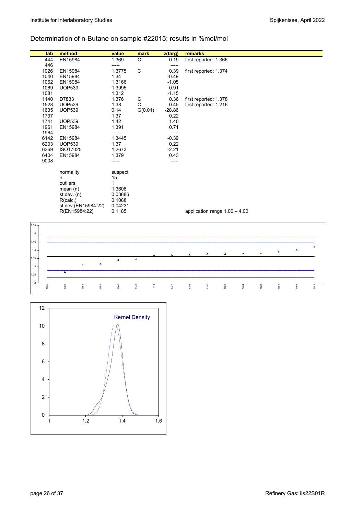## Determination of n-Butane on sample #22015; results in %mol/mol

| lab  | method                     | value        | mark           | z(targ)  | remarks |                                 |          |          |          |          |          |      |
|------|----------------------------|--------------|----------------|----------|---------|---------------------------------|----------|----------|----------|----------|----------|------|
| 444  | EN15984                    | 1.369        | $\mathsf{C}$   | 0.19     |         | first reported: 1.366           |          |          |          |          |          |      |
| 446  |                            | -----        |                | $--- -$  |         |                                 |          |          |          |          |          |      |
| 1026 | EN15984                    | 1.3775       | C              | 0.39     |         | first reported: 1.374           |          |          |          |          |          |      |
| 1040 | EN15984                    | 1.34         |                | $-0.49$  |         |                                 |          |          |          |          |          |      |
| 1062 | EN15984                    | 1.3166       |                | $-1.05$  |         |                                 |          |          |          |          |          |      |
| 1069 | <b>UOP539</b>              | 1.3995       |                | 0.91     |         |                                 |          |          |          |          |          |      |
| 1081 |                            | 1.312        |                | $-1.15$  |         |                                 |          |          |          |          |          |      |
| 1140 | D7833                      | 1.376        | $\mathsf C$    | 0.36     |         | first reported: 1.378           |          |          |          |          |          |      |
| 1528 | <b>UOP539</b>              | 1.38         | $\mathsf{C}$   | 0.45     |         | first reported: 1.216           |          |          |          |          |          |      |
| 1635 | <b>UOP539</b>              | 0.14         | G(0.01)        | $-28.86$ |         |                                 |          |          |          |          |          |      |
| 1737 |                            | 1.37         |                | 0.22     |         |                                 |          |          |          |          |          |      |
| 1741 | <b>UOP539</b>              | 1.42         |                | 1.40     |         |                                 |          |          |          |          |          |      |
| 1961 | EN15984                    | 1.391        |                | 0.71     |         |                                 |          |          |          |          |          |      |
| 1964 |                            | -----        |                | -----    |         |                                 |          |          |          |          |          |      |
| 6142 | EN15984                    | 1.3445       |                | $-0.39$  |         |                                 |          |          |          |          |          |      |
| 6203 | <b>UOP539</b>              | 1.37         |                | 0.22     |         |                                 |          |          |          |          |          |      |
| 6369 | ISO17025                   | 1.2673       |                | $-2.21$  |         |                                 |          |          |          |          |          |      |
| 6404 | EN15984                    | 1.379        |                | 0.43     |         |                                 |          |          |          |          |          |      |
| 9008 |                            | -----        |                | -----    |         |                                 |          |          |          |          |          |      |
|      |                            |              |                |          |         |                                 |          |          |          |          |          |      |
|      | normality                  | suspect      |                |          |         |                                 |          |          |          |          |          |      |
|      | n.                         | 15           |                |          |         |                                 |          |          |          |          |          |      |
|      | outliers                   | $\mathbf{1}$ |                |          |         |                                 |          |          |          |          |          |      |
|      | mean(n)                    | 1.3608       |                |          |         |                                 |          |          |          |          |          |      |
|      | st dev. $(n)$              | 0.03886      |                |          |         |                                 |          |          |          |          |          |      |
|      | R(calc.)                   | 0.1088       |                |          |         |                                 |          |          |          |          |          |      |
|      | st.dev.(EN15984:22)        | 0.04231      |                |          |         |                                 |          |          |          |          |          |      |
|      | R(EN15984:22)              | 0.1185       |                |          |         | application range $1.00 - 4.00$ |          |          |          |          |          |      |
|      |                            |              |                |          |         |                                 |          |          |          |          |          |      |
| 1.55 |                            |              |                |          |         |                                 |          |          |          |          |          |      |
| 1.5  |                            |              |                |          |         |                                 |          |          |          |          |          |      |
| 1.45 |                            |              |                |          |         |                                 |          |          |          |          |          |      |
|      |                            |              |                |          |         |                                 |          |          |          |          |          | Δ    |
| 1.4  |                            |              |                |          |         | Δ                               | $\Delta$ | $\Delta$ | $\Delta$ | $\Delta$ | $\Delta$ |      |
| 1.35 |                            | $\Delta$     | $\bar{\Delta}$ |          |         |                                 |          |          |          |          |          |      |
|      | $\pmb{\Delta}$<br>$\Delta$ |              |                |          |         |                                 |          |          |          |          |          |      |
| 1.3  |                            |              |                |          |         |                                 |          |          |          |          |          |      |
| 1.25 | $\overline{\mathbf{A}}$    |              |                |          |         |                                 |          |          |          |          |          |      |
| 1.2  |                            |              |                |          |         |                                 |          |          |          |          |          |      |
| 1635 | 6369<br>1062<br>1081       | 1040         | 6142<br>44     | 1737     | 6203    | 1140                            | 1026     | 6404     | 1528     | 1961     | 1069     | 1741 |
|      |                            |              |                |          |         |                                 |          |          |          |          |          |      |

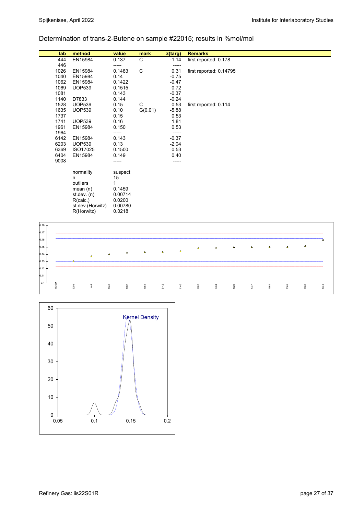## Determination of trans-2-Butene on sample #22015; results in %mol/mol

| lab  | method           | value   | mark    | z(targ) | <b>Remarks</b>          |
|------|------------------|---------|---------|---------|-------------------------|
| 444  | EN15984          | 0.137   | С       | $-1.14$ | first reported: 0.178   |
| 446  |                  | -----   |         | -----   |                         |
| 1026 | EN15984          | 0.1483  | C       | 0.31    | first reported: 0.14795 |
| 1040 | EN15984          | 0.14    |         | $-0.75$ |                         |
| 1062 | EN15984          | 0.1422  |         | $-0.47$ |                         |
| 1069 | <b>UOP539</b>    | 0.1515  |         | 0.72    |                         |
| 1081 |                  | 0.143   |         | $-0.37$ |                         |
| 1140 | D7833            | 0.144   |         | $-0.24$ |                         |
| 1528 | <b>UOP539</b>    | 0.15    | C       | 0.53    | first reported: 0.114   |
| 1635 | <b>UOP539</b>    | 0.10    | G(0.01) | $-5.88$ |                         |
| 1737 |                  | 0.15    |         | 0.53    |                         |
| 1741 | <b>UOP539</b>    | 0.16    |         | 1.81    |                         |
| 1961 | EN15984          | 0.150   |         | 0.53    |                         |
| 1964 |                  | -----   |         | -----   |                         |
| 6142 | EN15984          | 0.143   |         | $-0.37$ |                         |
| 6203 | <b>UOP539</b>    | 0.13    |         | $-2.04$ |                         |
| 6369 | ISO17025         | 0.1500  |         | 0.53    |                         |
| 6404 | EN15984          | 0.149   |         | 0.40    |                         |
| 9008 |                  | -----   |         | -----   |                         |
|      |                  |         |         |         |                         |
|      | normality        | suspect |         |         |                         |
|      | n                | 15      |         |         |                         |
|      | outliers         | 1       |         |         |                         |
|      | mean $(n)$       | 0.1459  |         |         |                         |
|      | st.dev. (n)      | 0.00714 |         |         |                         |
|      | R(calc.)         | 0.0200  |         |         |                         |
|      | st.dev.(Horwitz) | 0.00780 |         |         |                         |
|      | R(Horwitz)       | 0.0218  |         |         |                         |
|      |                  |         |         |         |                         |



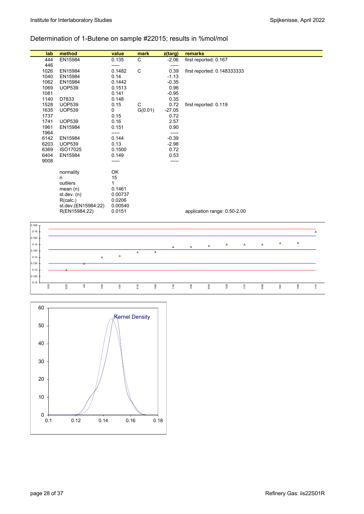## Determination of 1-Butene on sample #22015; results in %mol/mol

| lab          | method                    | value          | mark                       | z(targ)            | remarks                     |      |                              |          |          |      |          |          |
|--------------|---------------------------|----------------|----------------------------|--------------------|-----------------------------|------|------------------------------|----------|----------|------|----------|----------|
| 444          | EN15984                   | 0.135          | C                          | $-2.06$            | first reported: 0.167       |      |                              |          |          |      |          |          |
| 446          |                           | -----          |                            | -----              |                             |      |                              |          |          |      |          |          |
| 1026         | EN15984                   | 0.1482         | C                          | 0.39               | first reported: 0.148333333 |      |                              |          |          |      |          |          |
| 1040<br>1062 | EN15984<br>EN15984        | 0.14<br>0.1442 |                            | $-1.13$<br>$-0.35$ |                             |      |                              |          |          |      |          |          |
| 1069         | <b>UOP539</b>             | 0.1513         |                            | 0.96               |                             |      |                              |          |          |      |          |          |
| 1081         |                           | 0.141          |                            | $-0.95$            |                             |      |                              |          |          |      |          |          |
| 1140         | D7833                     | 0.148          |                            | 0.35               |                             |      |                              |          |          |      |          |          |
| 1528         | <b>UOP539</b>             | 0.15           | C                          | 0.72               | first reported: 0.119       |      |                              |          |          |      |          |          |
| 1635         | <b>UOP539</b>             | 0              | G(0.01)                    | $-27.05$           |                             |      |                              |          |          |      |          |          |
| 1737         |                           | 0.15           |                            | 0.72               |                             |      |                              |          |          |      |          |          |
| 1741         | <b>UOP539</b>             | 0.16           |                            | 2.57               |                             |      |                              |          |          |      |          |          |
| 1961         | EN15984                   | 0.151          |                            | 0.90               |                             |      |                              |          |          |      |          |          |
| 1964         |                           | -----          |                            | -----              |                             |      |                              |          |          |      |          |          |
| 6142         | EN15984                   | 0.144          |                            | $-0.39$            |                             |      |                              |          |          |      |          |          |
| 6203<br>6369 | <b>UOP539</b><br>ISO17025 | 0.13<br>0.1500 |                            | $-2.98$<br>0.72    |                             |      |                              |          |          |      |          |          |
| 6404         |                           | 0.149          |                            |                    |                             |      |                              |          |          |      |          |          |
| 9008         | EN15984                   | -----          |                            | 0.53<br>-----      |                             |      |                              |          |          |      |          |          |
|              |                           |                |                            |                    |                             |      |                              |          |          |      |          |          |
|              | normality                 | OK             |                            |                    |                             |      |                              |          |          |      |          |          |
|              | n                         | 15             |                            |                    |                             |      |                              |          |          |      |          |          |
|              | outliers                  | 1              |                            |                    |                             |      |                              |          |          |      |          |          |
|              | mean(n)                   | 0.1461         |                            |                    |                             |      |                              |          |          |      |          |          |
|              | st.dev. (n)               | 0.00737        |                            |                    |                             |      |                              |          |          |      |          |          |
|              | R(calc.)                  | 0.0206         |                            |                    |                             |      |                              |          |          |      |          |          |
|              | st.dev.(EN15984:22)       | 0.00540        |                            |                    |                             |      |                              |          |          |      |          |          |
|              | R(EN15984:22)             | 0.0151         |                            |                    |                             |      | application range: 0.50-2.00 |          |          |      |          |          |
| 0.165        |                           |                |                            |                    |                             |      |                              |          |          |      |          |          |
| 0.16         |                           |                |                            |                    |                             |      |                              |          |          |      |          | $\Delta$ |
| 0.155        |                           |                |                            |                    |                             |      |                              |          |          |      |          |          |
| 0.15         |                           |                |                            | Δ                  | $\Delta$                    | Δ    | Δ                            | $\Delta$ | $\Delta$ | Δ    | $\Delta$ |          |
| 0.145        |                           |                | $\pmb{\Delta}$<br>$\Delta$ |                    |                             |      |                              |          |          |      |          |          |
| 0.14         | A                         | $\pmb{\Delta}$ |                            |                    |                             |      |                              |          |          |      |          |          |
| 0.135        |                           |                |                            |                    |                             |      |                              |          |          |      |          |          |
| 0.13         |                           |                |                            |                    |                             |      |                              |          |          |      |          |          |
| 0.125        |                           |                |                            |                    |                             |      |                              |          |          |      |          |          |
| 0.12         |                           |                |                            |                    |                             |      |                              |          |          |      |          |          |
| 1635         | 6203<br>1040<br>$44$      | 1081           | 6142<br>1062               | 1140               | 1026                        | 8404 | 1528                         | $1737\,$ | 6369     | 1961 | 1069     | 1741     |
|              |                           |                |                            |                    |                             |      |                              |          |          |      |          |          |
|              |                           |                |                            |                    |                             |      |                              |          |          |      |          |          |

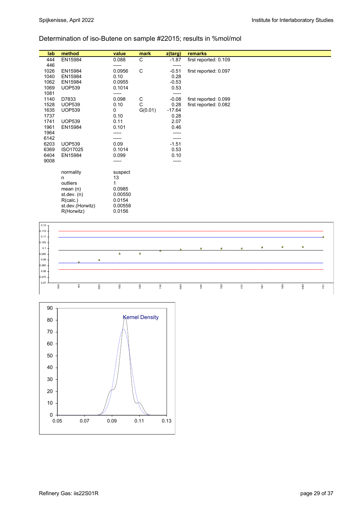## Determination of iso-Butene on sample #22015; results in %mol/mol

| lab  | method           | value   | mark    | z(targ)  | remarks               |
|------|------------------|---------|---------|----------|-----------------------|
| 444  | EN15984          | 0.088   | С       | $-1.87$  | first reported: 0.109 |
| 446  |                  | -----   |         | -----    |                       |
| 1026 | EN15984          | 0.0956  | C       | $-0.51$  | first reported: 0.097 |
| 1040 | EN15984          | 0.10    |         | 0.28     |                       |
| 1062 | EN15984          | 0.0955  |         | $-0.53$  |                       |
| 1069 | <b>UOP539</b>    | 0.1014  |         | 0.53     |                       |
| 1081 |                  | -----   |         | -----    |                       |
| 1140 | D7833            | 0.098   | С       | $-0.08$  | first reported: 0.099 |
| 1528 | <b>UOP539</b>    | 0.10    | C       | 0.28     | first reported: 0.082 |
| 1635 | <b>UOP539</b>    | 0       | G(0.01) | $-17.64$ |                       |
| 1737 |                  | 0.10    |         | 0.28     |                       |
| 1741 | <b>UOP539</b>    | 0.11    |         | 2.07     |                       |
| 1961 | EN15984          | 0.101   |         | 0.46     |                       |
| 1964 |                  | -----   |         |          |                       |
| 6142 |                  |         |         | -----    |                       |
| 6203 | <b>UOP539</b>    | 0.09    |         | $-1.51$  |                       |
| 6369 | ISO17025         | 0.1014  |         | 0.53     |                       |
| 6404 | EN15984          | 0.099   |         | 0.10     |                       |
| 9008 |                  | -----   |         | -----    |                       |
|      |                  |         |         |          |                       |
|      | normality        | suspect |         |          |                       |
|      | n                | 13      |         |          |                       |
|      | outliers         | 1       |         |          |                       |
|      | mean $(n)$       | 0.0985  |         |          |                       |
|      | st. dev. (n)     | 0.00550 |         |          |                       |
|      | R(calc.)         | 0.0154  |         |          |                       |
|      | st.dev.(Horwitz) | 0.00558 |         |          |                       |
|      | R(Horwitz)       | 0.0156  |         |          |                       |
|      |                  |         |         |          |                       |



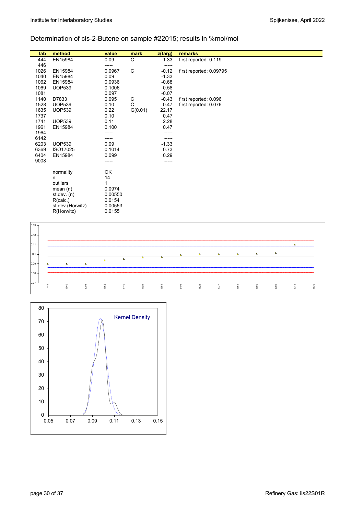## Determination of cis-2-Butene on sample #22015; results in %mol/mol

| lab  | method           | value   | mark    | z(targ) | <b>remarks</b>          |
|------|------------------|---------|---------|---------|-------------------------|
| 444  | EN15984          | 0.09    | C       | $-1.33$ | first reported: 0.119   |
| 446  |                  | -----   |         | -----   |                         |
| 1026 | EN15984          | 0.0967  | C       | $-0.12$ | first reported: 0.09795 |
| 1040 | EN15984          | 0.09    |         | $-1.33$ |                         |
| 1062 | EN15984          | 0.0936  |         | $-0.68$ |                         |
| 1069 | <b>UOP539</b>    | 0.1006  |         | 0.58    |                         |
| 1081 |                  | 0.097   |         | $-0.07$ |                         |
| 1140 | D7833            | 0.095   | C       | $-0.43$ | first reported: 0.096   |
| 1528 | <b>UOP539</b>    | 0.10    | C       | 0.47    | first reported: 0.076   |
| 1635 | <b>UOP539</b>    | 0.22    | G(0.01) | 22.17   |                         |
| 1737 |                  | 0.10    |         | 0.47    |                         |
| 1741 | <b>UOP539</b>    | 0.11    |         | 2.28    |                         |
| 1961 | EN15984          | 0.100   |         | 0.47    |                         |
| 1964 |                  |         |         |         |                         |
| 6142 |                  |         |         | -----   |                         |
| 6203 | <b>UOP539</b>    | 0.09    |         | $-1.33$ |                         |
| 6369 | ISO17025         | 0.1014  |         | 0.73    |                         |
| 6404 | EN15984          | 0.099   |         | 0.29    |                         |
| 9008 |                  |         |         | -----   |                         |
|      |                  |         |         |         |                         |
|      | normality        | OK      |         |         |                         |
|      | n                | 14      |         |         |                         |
|      | outliers         | 1       |         |         |                         |
|      | mean $(n)$       | 0.0974  |         |         |                         |
|      | st. dev. (n)     | 0.00550 |         |         |                         |
|      | R(calc.)         | 0.0154  |         |         |                         |
|      | st.dev.(Horwitz) | 0.00553 |         |         |                         |
|      | R(Horwitz)       | 0.0155  |         |         |                         |
|      |                  |         |         |         |                         |



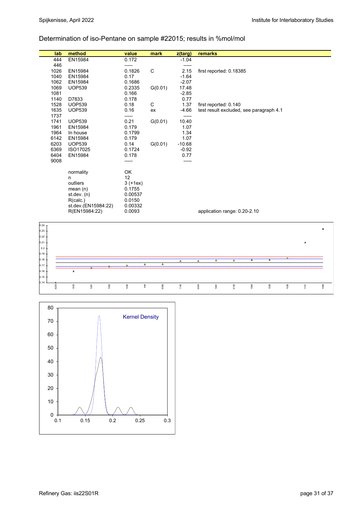## Determination of iso-Pentane on sample #22015; results in %mol/mol

| lab      | method              | value      | mark    | z(targ)  | remarks                                 |
|----------|---------------------|------------|---------|----------|-----------------------------------------|
| 444      | EN15984             | 0.172      |         | $-1.04$  |                                         |
| 446      |                     | -----      |         | -----    |                                         |
| 1026     | EN15984             | 0.1826     | C       | 2.15     | first reported: 0.18385                 |
| 1040     | EN15984             | 0.17       |         | $-1.64$  |                                         |
| 1062     | EN15984             | 0.1686     |         | $-2.07$  |                                         |
| 1069     | <b>UOP539</b>       | 0.2335     | G(0.01) | 17.48    |                                         |
| 1081     |                     | 0.166      |         | $-2.85$  |                                         |
| 1140     | D7833               | 0.178      |         | 0.77     |                                         |
| 1528     | <b>UOP539</b>       | 0.18       | C       | 1.37     | first reported: 0.140                   |
| 1635     | <b>UOP539</b>       | 0.16       | ex      | $-4.66$  | test result excluded, see paragraph 4.1 |
| 1737     |                     | -----      |         | -----    |                                         |
| 1741     | <b>UOP539</b>       | 0.21       | G(0.01) | 10.40    |                                         |
| 1961     | EN15984             | 0.179      |         | 1.07     |                                         |
| 1964     | In house            | 0.1799     |         | 1.34     |                                         |
| 6142     | EN15984             | 0.179      |         | 1.07     |                                         |
| 6203     | <b>UOP539</b>       | 0.14       | G(0.01) | $-10.68$ |                                         |
| 6369     | ISO17025            | 0.1724     |         | $-0.92$  |                                         |
| 6404     | EN15984             | 0.178      |         | 0.77     |                                         |
| 9008     |                     | -----      |         | -----    |                                         |
|          | normality           | OK         |         |          |                                         |
|          | n.                  | 12         |         |          |                                         |
|          | outliers            | $3 (+1ex)$ |         |          |                                         |
|          | mean $(n)$          | 0.1755     |         |          |                                         |
|          | st dev. $(n)$       | 0.00537    |         |          |                                         |
|          | R(calc.)            | 0.0150     |         |          |                                         |
|          | st.dev.(EN15984:22) | 0.00332    |         |          |                                         |
|          | R(EN15984:22)       | 0.0093     |         |          | application range: 0.20-2.10            |
|          |                     |            |         |          |                                         |
|          |                     |            |         |          |                                         |
| $0.24$ T |                     |            |         |          |                                         |



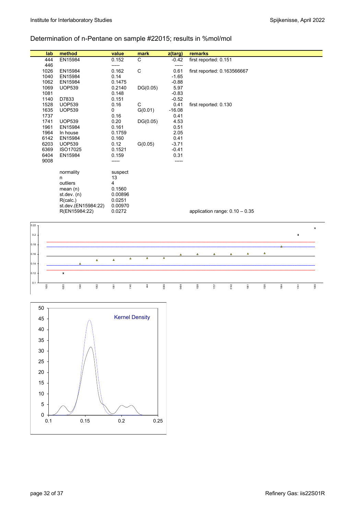## Determination of n-Pentane on sample #22015; results in %mol/mol

| lab          | method               | value           | mark                 | z(targ)              | remarks  |                                  |          |          |                |      |                |                |
|--------------|----------------------|-----------------|----------------------|----------------------|----------|----------------------------------|----------|----------|----------------|------|----------------|----------------|
| 444          | EN15984              | 0.152           | C                    | $-0.42$              |          | first reported: 0.151            |          |          |                |      |                |                |
| 446          |                      | -----           |                      | -----                |          |                                  |          |          |                |      |                |                |
| 1026         | EN15984              | 0.162           | $\mathsf C$          | 0.61                 |          | first reported: 0.163566667      |          |          |                |      |                |                |
| 1040         | EN15984              | 0.14            |                      | $-1.65$              |          |                                  |          |          |                |      |                |                |
| 1062         | EN15984              | 0.1475          |                      | $-0.88$              |          |                                  |          |          |                |      |                |                |
| 1069         | <b>UOP539</b>        | 0.2140          | DG(0.05)             | 5.97                 |          |                                  |          |          |                |      |                |                |
| 1081         |                      | 0.148           |                      | $-0.83$              |          |                                  |          |          |                |      |                |                |
| 1140         | D7833                | 0.151           |                      | $-0.52$              |          |                                  |          |          |                |      |                |                |
| 1528         | <b>UOP539</b>        | 0.16            | C                    | 0.41                 |          | first reported: 0.130            |          |          |                |      |                |                |
| 1635         | <b>UOP539</b>        | $\mathbf 0$     | G(0.01)              | $-16.08$             |          |                                  |          |          |                |      |                |                |
| 1737         |                      | 0.16            |                      | 0.41                 |          |                                  |          |          |                |      |                |                |
| 1741         | <b>UOP539</b>        | 0.20            | DG(0.05)             | 4.53                 |          |                                  |          |          |                |      |                |                |
| 1961<br>1964 | EN15984              | 0.161<br>0.1759 |                      | 0.51<br>2.05         |          |                                  |          |          |                |      |                |                |
| 6142         | In house<br>EN15984  | 0.160           |                      | 0.41                 |          |                                  |          |          |                |      |                |                |
| 6203         | <b>UOP539</b>        | 0.12            | G(0.05)              | $-3.71$              |          |                                  |          |          |                |      |                |                |
| 6369         | ISO17025             | 0.1521          |                      | $-0.41$              |          |                                  |          |          |                |      |                |                |
| 6404         | EN15984              | 0.159           |                      | 0.31                 |          |                                  |          |          |                |      |                |                |
| 9008         |                      | ------          |                      | -----                |          |                                  |          |          |                |      |                |                |
|              |                      |                 |                      |                      |          |                                  |          |          |                |      |                |                |
|              | normality            | suspect         |                      |                      |          |                                  |          |          |                |      |                |                |
|              | n                    | 13              |                      |                      |          |                                  |          |          |                |      |                |                |
|              | outliers             | $\overline{4}$  |                      |                      |          |                                  |          |          |                |      |                |                |
|              | mean $(n)$           | 0.1560          |                      |                      |          |                                  |          |          |                |      |                |                |
|              | st.dev. (n)          | 0.00896         |                      |                      |          |                                  |          |          |                |      |                |                |
|              | R(calc.)             | 0.0251          |                      |                      |          |                                  |          |          |                |      |                |                |
|              | st.dev.(EN15984:22)  | 0.00970         |                      |                      |          |                                  |          |          |                |      |                |                |
|              | R(EN15984:22)        | 0.0272          |                      |                      |          | application range: $0.10 - 0.35$ |          |          |                |      |                |                |
|              |                      |                 |                      |                      |          |                                  |          |          |                |      |                |                |
| 0.22         |                      |                 |                      |                      |          |                                  |          |          |                |      |                | $\pmb{\times}$ |
|              |                      |                 |                      |                      |          |                                  |          |          |                |      |                |                |
| 0.2          |                      |                 |                      |                      |          |                                  |          |          |                |      | $\pmb{\times}$ |                |
| 0.18         |                      |                 |                      |                      |          |                                  |          |          |                |      |                |                |
|              |                      |                 |                      |                      |          |                                  |          |          |                |      |                |                |
| 0.16         |                      |                 | $\Delta$<br>$\Delta$ | $\Delta$<br>$\Delta$ | $\Delta$ | $\Delta$                         | $\Delta$ | $\Delta$ | $\pmb{\Delta}$ |      |                |                |
| 0.14         | $\Delta$<br>$\Delta$ | $\Delta$        |                      |                      |          |                                  |          |          |                |      |                |                |
|              |                      |                 |                      |                      |          |                                  |          |          |                |      |                |                |
| 0.12         | $\pmb{\times}$       |                 |                      |                      |          |                                  |          |          |                |      |                |                |
| 0.1          |                      |                 |                      |                      |          |                                  |          |          |                |      |                |                |
| 1635         | 6203<br>1040<br>1062 | 1081            | 1140<br>44           | 6369<br>6404         | 1528     | 1737                             | 6142     | 1961     | 1026           | 1964 | 1741           | 1069           |

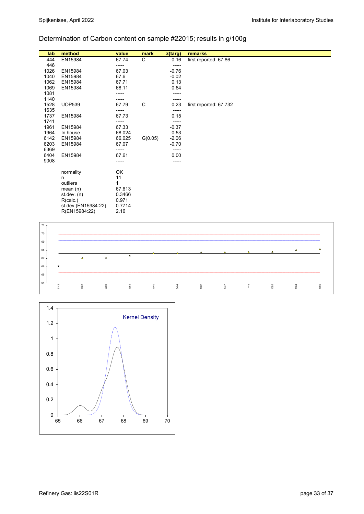# Determination of Carbon content on sample #22015; results in g/100g

| lab  | method              | value  | mark    | z(targ) | remarks                |
|------|---------------------|--------|---------|---------|------------------------|
| 444  | EN15984             | 67.74  | C       | 0.16    | first reported: 67.86  |
| 446  |                     | -----  |         | -----   |                        |
| 1026 | EN15984             | 67.03  |         | $-0.76$ |                        |
| 1040 | EN15984             | 67.6   |         | $-0.02$ |                        |
| 1062 | EN15984             | 67.71  |         | 0.13    |                        |
| 1069 | EN15984             | 68.11  |         | 0.64    |                        |
| 1081 |                     |        |         |         |                        |
| 1140 |                     | -----  |         |         |                        |
| 1528 | <b>UOP539</b>       | 67.79  | C       | 0.23    | first reported: 67.732 |
| 1635 |                     | -----  |         | -----   |                        |
| 1737 | EN15984             | 67.73  |         | 0.15    |                        |
| 1741 |                     | -----  |         | -----   |                        |
| 1961 | EN15984             | 67.33  |         | $-0.37$ |                        |
| 1964 | In house            | 68.024 |         | 0.53    |                        |
| 6142 | EN15984             | 66.025 | G(0.05) | $-2.06$ |                        |
| 6203 | EN15984             | 67.07  |         | $-0.70$ |                        |
| 6369 |                     | -----  |         | -----   |                        |
| 6404 | EN15984             | 67.61  |         | 0.00    |                        |
| 9008 |                     | -----  |         | -----   |                        |
|      |                     |        |         |         |                        |
|      | normality           | OK     |         |         |                        |
|      | n                   | 11     |         |         |                        |
|      | outliers            | 1      |         |         |                        |
|      | mean $(n)$          | 67.613 |         |         |                        |
|      | st.dev. (n)         | 0.3466 |         |         |                        |
|      | R(calc.)            | 0.971  |         |         |                        |
|      | st.dev.(EN15984:22) | 0.7714 |         |         |                        |
|      | R(EN15984:22)       | 2.16   |         |         |                        |



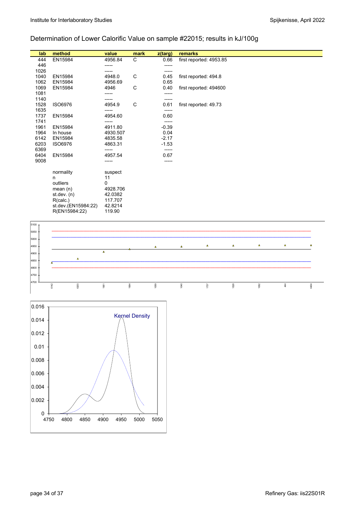## Determination of Lower Calorific Value on sample #22015; results in kJ/100g

| lab  | method              | value    | mark | z(targ) | remarks                 |
|------|---------------------|----------|------|---------|-------------------------|
| 444  | EN15984             | 4956.84  | C    | 0.66    | first reported: 4953.85 |
| 446  |                     | -----    |      | -----   |                         |
| 1026 |                     | -----    |      | -----   |                         |
| 1040 | EN15984             | 4948.0   | C    | 0.45    | first reported: 494.8   |
| 1062 | EN15984             | 4956.69  |      | 0.65    |                         |
| 1069 | EN15984             | 4946     | C    | 0.40    | first reported: 494600  |
| 1081 |                     | -----    |      | -----   |                         |
| 1140 |                     |          |      | -----   |                         |
| 1528 | <b>ISO6976</b>      | 4954.9   | C    | 0.61    | first reported: 49.73   |
| 1635 |                     |          |      | -----   |                         |
| 1737 | EN15984             | 4954.60  |      | 0.60    |                         |
| 1741 |                     |          |      | -----   |                         |
| 1961 | EN15984             | 4911.80  |      | $-0.39$ |                         |
| 1964 | In house            | 4930.507 |      | 0.04    |                         |
| 6142 | EN15984             | 4835.58  |      | $-2.17$ |                         |
| 6203 | <b>ISO6976</b>      | 4863.31  |      | $-1.53$ |                         |
| 6369 |                     | -----    |      | -----   |                         |
| 6404 | EN15984             | 4957.54  |      | 0.67    |                         |
| 9008 |                     | -----    |      | -----   |                         |
|      |                     |          |      |         |                         |
|      | normality           | suspect  |      |         |                         |
|      | n                   | 11       |      |         |                         |
|      | outliers            | 0        |      |         |                         |
|      | mean $(n)$          | 4928.706 |      |         |                         |
|      | st.dev. (n)         | 42.0382  |      |         |                         |
|      | R(calc.)            | 117.707  |      |         |                         |
|      | st.dev.(EN15984:22) | 42.8214  |      |         |                         |
|      | R(EN15984:22)       | 119.90   |      |         |                         |



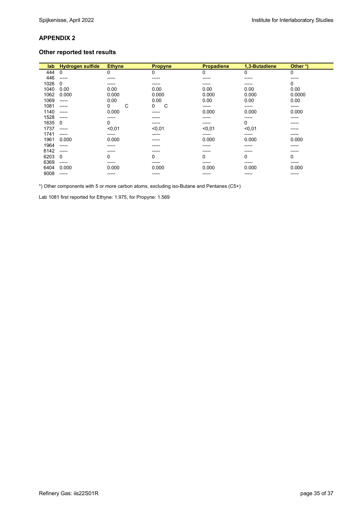### **Other reported test results**

| lab  | <b>Hydrogen sulfide</b> | <b>Ethyne</b> | <b>Propyne</b> | <b>Propadiene</b> | 1,3-Butadiene | Other*) |
|------|-------------------------|---------------|----------------|-------------------|---------------|---------|
| 444  | 0                       | 0             | 0              | 0                 | 0             | 0       |
| 446  | -----                   | ------        | -----          | ------            | -----         | ------  |
| 1026 | 0                       | $- - - - -$   | -----          | -----             | -----         | 0       |
| 1040 | 0.00                    | 0.00          | 0.00           | 0.00              | 0.00          | 0.00    |
| 1062 | 0.000                   | 0.000         | 0.000          | 0.000             | 0.000         | 0.0000  |
| 1069 | -----                   | 0.00          | 0.00           | 0.00              | 0.00          | 0.00    |
| 1081 | -----                   | С<br>0        | С<br>0         | -----             | -----         | -----   |
| 1140 | -----                   | 0.000         | -----          | 0.000             | 0.000         | 0.000   |
| 1528 | -----                   | -----         | -----          | -----             | -----         | ------  |
| 1635 | 0                       | 0             | -----          | ------            | 0             | ------  |
| 1737 | -----                   | < 0.01        | < 0,01         | < 0.01            | < 0.01        | -----   |
| 1741 | -----                   | -----         | -----          | -----             | -----         | -----   |
| 1961 | 0.000                   | 0.000         | -----          | 0.000             | 0.000         | 0.000   |
| 1964 | -----                   | -----         | -----          | -----             | -----         | -----   |
| 6142 | -----                   | $- - - - -$   | -----          | -----             | -----         | -----   |
| 6203 | 0                       | 0             | 0              | 0                 | 0             | 0       |
| 6369 | -----                   | -----         | -----          | -----             | -----         | -----   |
| 6404 | 0.000                   | 0.000         | 0.000          | 0.000             | 0.000         | 0.000   |
| 9008 | -----                   | ------        | -----          | ------            | -----         | ------  |

\*) Other components with 5 or more carbon atoms, excluding iso-Butane and Pentanes (C5+)

Lab 1081 first reported for Ethyne: 1.975, for Propyne: 1.569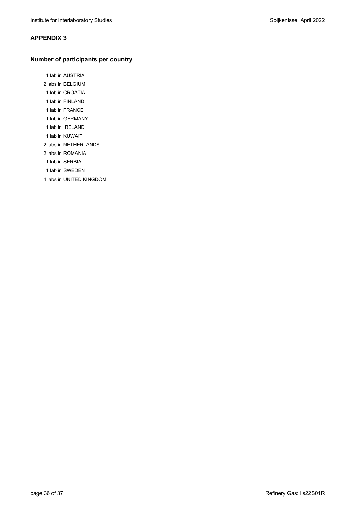### **Number of participants per country**

 1 lab in AUSTRIA 2 labs in BELGIUM 1 lab in CROATIA 1 lab in FINLAND 1 lab in FRANCE 1 lab in GERMANY 1 lab in IRELAND 1 lab in KUWAIT 2 labs in NETHERLANDS 2 labs in ROMANIA 1 lab in SERBIA 1 lab in SWEDEN

4 labs in UNITED KINGDOM